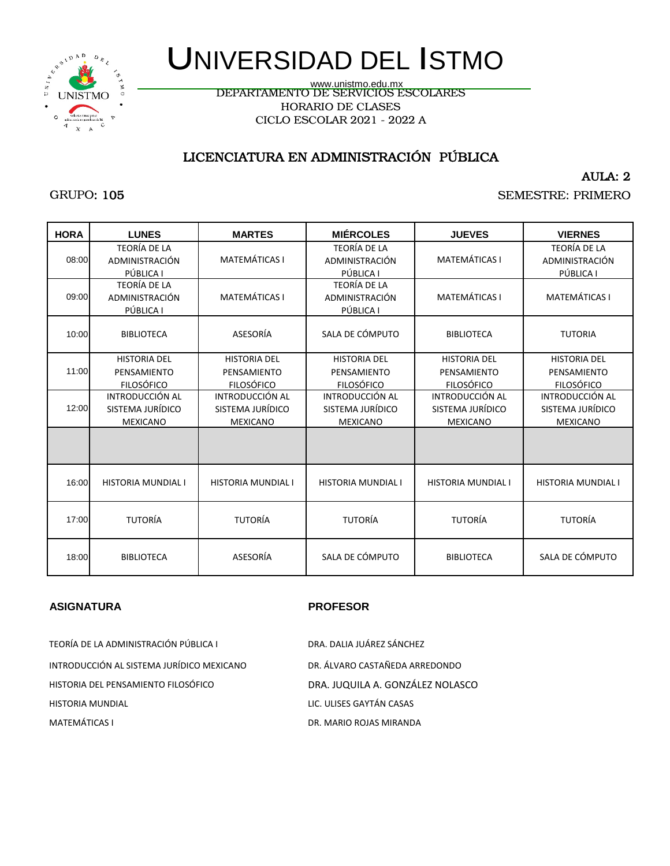HORARIO DE CLASES CICLO ESCOLAR 2021 - 2022 A www.unistmo.edu.mx

## LICENCIATURA EN ADMINISTRACIÓN PÚBLICA

AULA: 2

SEMESTRE: PRIMERO

| WWW.UIIISUIIU.EUU.IIIA              |
|-------------------------------------|
| DEPARTAMENTO DE SERVICIOS ESCOLARES |
| HORARIO DE CLASES                   |
| CICLO ESCOLAR 2021 - 2022 A         |
|                                     |

### GRUPO: 105

| <b>HORA</b> | <b>LUNES</b>                                            | <b>MARTES</b>                                           | <b>MIÉRCOLES</b>                                              | <b>JUEVES</b>                                           | <b>VIERNES</b>                                                |
|-------------|---------------------------------------------------------|---------------------------------------------------------|---------------------------------------------------------------|---------------------------------------------------------|---------------------------------------------------------------|
| 08:00       | <b>TEORÍA DE LA</b><br>ADMINISTRACIÓN<br>PÚBLICA I      | <b>MATEMÁTICAS I</b>                                    | <b>TEORÍA DE LA</b><br>ADMINISTRACIÓN<br>PÚBLICA I            | <b>MATEMÁTICAS I</b>                                    | <b>TEORÍA DE LA</b><br>ADMINISTRACIÓN<br>PÚBLICA I            |
| 09:00       | <b>TEORÍA DE LA</b><br>ADMINISTRACIÓN<br>PÚBLICA I      | <b>MATEMÁTICAS I</b>                                    | <b>TEORÍA DE LA</b><br>ADMINISTRACIÓN<br>PÚBLICA I            | <b>MATEMÁTICAS I</b>                                    | <b>MATEMÁTICAS I</b>                                          |
| 10:00       | <b>BIBLIOTECA</b>                                       | ASESORÍA                                                | SALA DE CÓMPUTO                                               | <b>BIBLIOTECA</b>                                       | <b>TUTORIA</b>                                                |
| 11:00       | <b>HISTORIA DEL</b><br>PENSAMIENTO<br><b>FILOSÓFICO</b> | <b>HISTORIA DEL</b><br>PENSAMIENTO<br><b>FILOSÓFICO</b> | <b>HISTORIA DEL</b><br>PENSAMIENTO<br><b>FILOSÓFICO</b>       | <b>HISTORIA DEL</b><br>PENSAMIENTO<br><b>FILOSÓFICO</b> | <b>HISTORIA DEL</b><br>PENSAMIENTO<br><b>FILOSÓFICO</b>       |
| 12:00       | INTRODUCCIÓN AL<br>SISTEMA JURÍDICO<br><b>MEXICANO</b>  | INTRODUCCIÓN AL<br>SISTEMA JURÍDICO<br><b>MEXICANO</b>  | <b>INTRODUCCIÓN AL</b><br>SISTEMA JURÍDICO<br><b>MEXICANO</b> | INTRODUCCIÓN AL<br>SISTEMA JURÍDICO<br><b>MEXICANO</b>  | <b>INTRODUCCIÓN AL</b><br>SISTEMA JURÍDICO<br><b>MEXICANO</b> |
|             |                                                         |                                                         |                                                               |                                                         |                                                               |
| 16:00       | <b>HISTORIA MUNDIAL I</b>                               | <b>HISTORIA MUNDIAL I</b>                               | <b>HISTORIA MUNDIAL I</b>                                     | <b>HISTORIA MUNDIAL I</b>                               | <b>HISTORIA MUNDIAL I</b>                                     |
| 17:00       | <b>TUTORÍA</b>                                          | <b>TUTORÍA</b>                                          | <b>TUTORÍA</b>                                                | <b>TUTORÍA</b>                                          | <b>TUTORÍA</b>                                                |
| 18:00       | <b>BIBLIOTECA</b>                                       | ASESORÍA                                                | SALA DE CÓMPUTO                                               | <b>BIBLIOTECA</b>                                       | SALA DE CÓMPUTO                                               |

#### **ASIGNATURA PROFESOR**

HISTORIA DEL PENSAMIENTO FILOSÓFICO DRA. JUQUILA A. GONZÁLEZ NOLASCO HISTORIA MUNDIAL LIC. ULISES GAYTÁN CASAS MATEMÁTICAS I DR. MARIO ROJAS MIRANDA TEORÍA DE LA ADMINISTRACIÓN PÚBLICA I DRA. DALIA JUÁREZ SÁNCHEZ INTRODUCCIÓN AL SISTEMA JURÍDICO MEXICANO DR. ÁLVARO CASTAÑEDA ARREDONDO

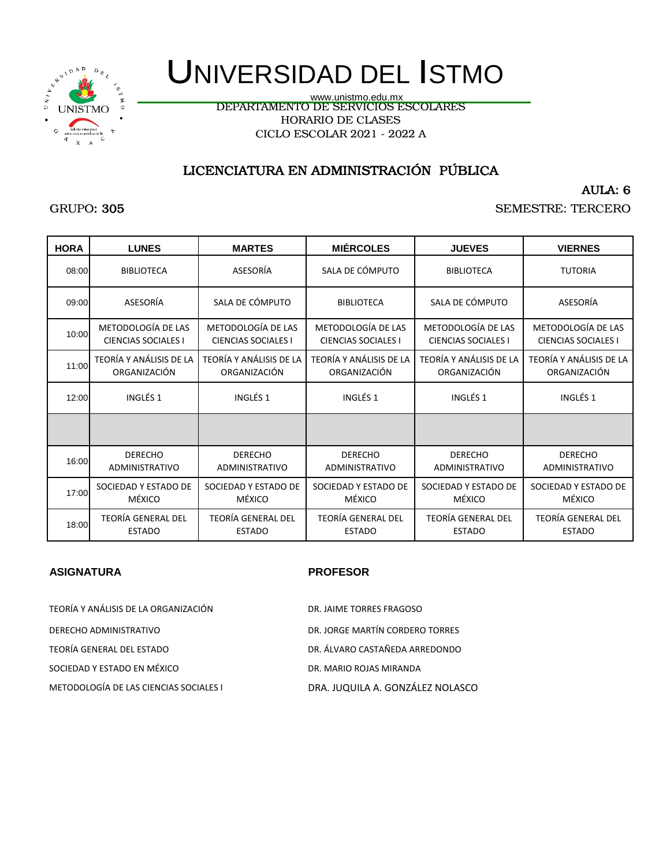

DEPARTAMENTO DE SERVICIOS ESCOLARES HORARIO DE CLASES CICLO ESCOLAR 2021 - 2022 A www.unistmo.edu.mx

## LICENCIATURA EN ADMINISTRACIÓN PÚBLICA

AULA: 6

#### GRUPO: 305

SEMESTRE: TERCERO

| <b>HORA</b> | <b>LUNES</b>               | <b>MARTES</b>              | <b>MIÉRCOLES</b>           | <b>JUEVES</b>              | <b>VIERNES</b>             |
|-------------|----------------------------|----------------------------|----------------------------|----------------------------|----------------------------|
| 08:00       | <b>BIBLIOTECA</b>          | ASESORÍA                   | SALA DE CÓMPUTO            | <b>BIBLIOTECA</b>          | <b>TUTORIA</b>             |
| 09:00       | ASESORÍA                   | SALA DE CÓMPUTO            | <b>BIBLIOTECA</b>          | SALA DE CÓMPUTO            | ASESORÍA                   |
| 10:00       | METODOLOGÍA DE LAS         | METODOLOGÍA DE LAS         | METODOLOGÍA DE LAS         | METODOLOGÍA DE LAS         | METODOLOGÍA DE LAS         |
|             | <b>CIENCIAS SOCIALES I</b> | <b>CIENCIAS SOCIALES I</b> | <b>CIENCIAS SOCIALES I</b> | <b>CIENCIAS SOCIALES I</b> | <b>CIENCIAS SOCIALES I</b> |
| 11:00       | TEORÍA Y ANÁLISIS DE LA    | TEORÍA Y ANÁLISIS DE LA    | TEORÍA Y ANÁLISIS DE LA    | TEORÍA Y ANÁLISIS DE LA    | TEORÍA Y ANÁLISIS DE LA    |
|             | ORGANIZACIÓN               | ORGANIZACIÓN               | ORGANIZACIÓN               | ORGANIZACIÓN               | ORGANIZACIÓN               |
| 12:00       | INGLÉS 1                   | INGLÉS <sub>1</sub>        | INGLÉS <sub>1</sub>        | INGLÉS 1                   | INGLÉS <sub>1</sub>        |
|             |                            |                            |                            |                            |                            |
| 16:00       | <b>DERECHO</b>             | <b>DERECHO</b>             | <b>DERECHO</b>             | <b>DERECHO</b>             | <b>DERECHO</b>             |
|             | <b>ADMINISTRATIVO</b>      | <b>ADMINISTRATIVO</b>      | <b>ADMINISTRATIVO</b>      | ADMINISTRATIVO             | ADMINISTRATIVO             |
| 17:00       | SOCIEDAD Y ESTADO DE       | SOCIEDAD Y ESTADO DE       | SOCIEDAD Y ESTADO DE       | SOCIEDAD Y ESTADO DE       | SOCIEDAD Y ESTADO DE       |
|             | MÉXICO                     | MÉXICO                     | MÉXICO                     | MÉXICO                     | MÉXICO                     |
| 18:00       | <b>TEORÍA GENERAL DEL</b>  | <b>TEORÍA GENERAL DEL</b>  | <b>TEORÍA GENERAL DEL</b>  | <b>TEORÍA GENERAL DEL</b>  | <b>TEORÍA GENERAL DEL</b>  |
|             | <b>ESTADO</b>              | <b>ESTADO</b>              | <b>ESTADO</b>              | <b>ESTADO</b>              | <b>ESTADO</b>              |

#### **ASIGNATURA PROFESOR**

TEORÍA Y ANÁLISIS DE LA ORGANIZACIÓN DR. JAIME TORRES FRAGOSO

SOCIEDAD Y ESTADO EN MÉXICO **ESTADO EN MÉXICO EN EL ENTRANDA** 

TEORÍA GENERAL DEL ESTADO DR. ÁLVARO CASTAÑEDA ARREDONDO METODOLOGÍA DE LAS CIENCIAS SOCIALES I DRA. JUQUILA A. GONZÁLEZ NOLASCO DERECHO ADMINISTRATIVO DR. JORGE MARTÍN CORDERO TORRES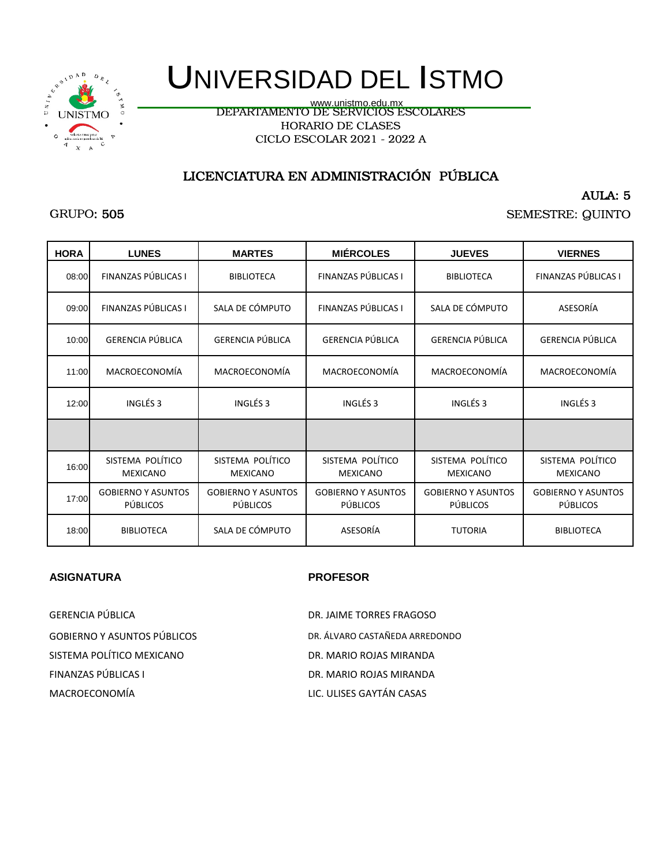

# UNIVERSIDAD DEL ISTMO

DEPARTAMENTO DE SERVICIOS ESCOLARES HORARIO DE CLASES CICLO ESCOLAR 2021 - 2022 A www.unistmo.edu.mx

## LICENCIATURA EN ADMINISTRACIÓN PÚBLICA

AULA: 5

SEMESTRE: QUINTO

| <b>HORA</b> | <b>LUNES</b>                                 | <b>MARTES</b>                                | <b>MIÉRCOLES</b>                             | <b>JUEVES</b>                                | <b>VIERNES</b>                               |
|-------------|----------------------------------------------|----------------------------------------------|----------------------------------------------|----------------------------------------------|----------------------------------------------|
| 08:00       | FINANZAS PÚBLICAS I                          | <b>BIBLIOTECA</b>                            | FINANZAS PÚBLICAS I                          | <b>BIBLIOTECA</b>                            | FINANZAS PÚBLICAS I                          |
| 09:00       | FINANZAS PÚBLICAS I                          | SALA DE CÓMPUTO                              | FINANZAS PÚBLICAS I                          | SALA DE CÓMPUTO                              | ASESORÍA                                     |
| 10:00       | <b>GERENCIA PÚBLICA</b>                      | <b>GERENCIA PÚBLICA</b>                      | <b>GERENCIA PÚBLICA</b>                      | <b>GERENCIA PÚBLICA</b>                      | GERENCIA PÚBLICA                             |
| 11:00       | MACROECONOMÍA                                | MACROECONOMÍA                                | MACROECONOMÍA                                | MACROECONOMÍA                                | MACROECONOMÍA                                |
| 12:00       | INGLÉS <sub>3</sub>                          | INGLÉS <sub>3</sub>                          | INGLÉS 3                                     | INGLÉS <sub>3</sub>                          | INGLÉS 3                                     |
|             |                                              |                                              |                                              |                                              |                                              |
| 16:00       | SISTEMA POLÍTICO<br><b>MEXICANO</b>          | SISTEMA POLÍTICO<br><b>MEXICANO</b>          | SISTEMA POLÍTICO<br><b>MEXICANO</b>          | SISTEMA POLÍTICO<br><b>MEXICANO</b>          | SISTEMA POLÍTICO<br><b>MEXICANO</b>          |
| 17:00       | <b>GOBIERNO Y ASUNTOS</b><br><b>PÚBLICOS</b> | <b>GOBIERNO Y ASUNTOS</b><br><b>PÚBLICOS</b> | <b>GOBIERNO Y ASUNTOS</b><br><b>PÚBLICOS</b> | <b>GOBIERNO Y ASUNTOS</b><br><b>PÚBLICOS</b> | <b>GOBIERNO Y ASUNTOS</b><br><b>PÚBLICOS</b> |
| 18:00       | <b>BIBLIOTECA</b>                            | SALA DE CÓMPUTO                              | ASESORÍA                                     | <b>TUTORIA</b>                               | <b>BIBLIOTECA</b>                            |

#### **ASIGNATURA PROFESOR**

SISTEMA POLÍTICO MEXICANO DE SOLO DE DE DE MARIO ROJAS MIRANDA FINANZAS PÚBLICAS I DR. MARIO ROJAS MIRANDA MACROECONOMÍA LIC. ULISES GAYTÁN CASAS GERENCIA PÚBLICA DE EN ENTRE EN ENGLACIA DE LA DR. JAIME TORRES FRAGOSO

GOBIERNO Y ASUNTOS PÚBLICOS DE EN ENSEGIA ARREDONDO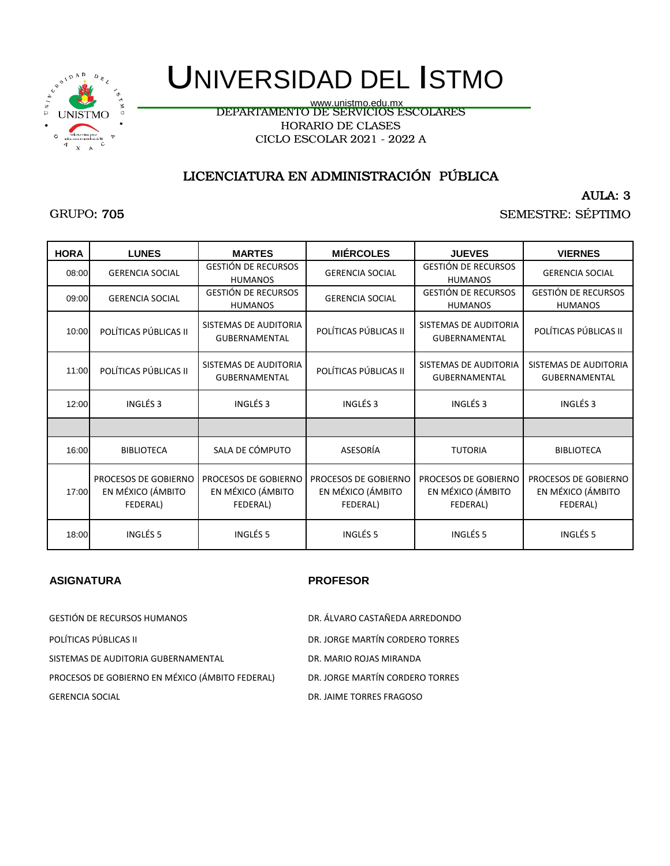

# UNIVERSIDAD DEL ISTMO

DEPARTAMENTO DE SERVICIOS ESCOLARES HORARIO DE CLASES CICLO ESCOLAR 2021 - 2022 A www.unistmo.edu.mx

## LICENCIATURA EN ADMINISTRACIÓN PÚBLICA

AULA: 3

SEMESTRE: SÉPTIMO

| <b>HORA</b> | <b>LUNES</b>                                          | <b>MARTES</b>                                         | <b>MIÉRCOLES</b>                                      | <b>JUEVES</b>                                         | <b>VIERNES</b>                                        |
|-------------|-------------------------------------------------------|-------------------------------------------------------|-------------------------------------------------------|-------------------------------------------------------|-------------------------------------------------------|
| 08:00       | <b>GERENCIA SOCIAL</b>                                | <b>GESTIÓN DE RECURSOS</b><br><b>HUMANOS</b>          | <b>GERENCIA SOCIAL</b>                                | <b>GESTIÓN DE RECURSOS</b><br><b>HUMANOS</b>          | <b>GERENCIA SOCIAL</b>                                |
| 09:00       | <b>GERENCIA SOCIAL</b>                                | <b>GESTIÓN DE RECURSOS</b><br><b>HUMANOS</b>          | <b>GERENCIA SOCIAL</b>                                | <b>GESTIÓN DE RECURSOS</b><br><b>HUMANOS</b>          | <b>GESTIÓN DE RECURSOS</b><br><b>HUMANOS</b>          |
| 10:00       | POLÍTICAS PÚBLICAS II                                 | SISTEMAS DE AUDITORIA<br><b>GUBERNAMENTAL</b>         | POLÍTICAS PÚBLICAS II                                 | SISTEMAS DE AUDITORIA<br><b>GUBERNAMENTAL</b>         | POLÍTICAS PÚBLICAS II                                 |
| 11:00       | POLÍTICAS PÚBLICAS II                                 | SISTEMAS DE AUDITORIA<br><b>GUBERNAMENTAL</b>         | POLÍTICAS PÚBLICAS II                                 | SISTEMAS DE AUDITORIA<br><b>GUBERNAMENTAL</b>         | SISTEMAS DE AUDITORIA<br><b>GUBERNAMENTAL</b>         |
| 12:00       | INGLÉS <sub>3</sub>                                   | INGLÉS <sub>3</sub>                                   | INGLÉS <sub>3</sub>                                   | INGLÉS <sub>3</sub>                                   | INGLÉS 3                                              |
|             |                                                       |                                                       |                                                       |                                                       |                                                       |
| 16:00       | <b>BIBLIOTECA</b>                                     | SALA DE CÓMPUTO                                       | ASESORÍA                                              | <b>TUTORIA</b>                                        | <b>BIBLIOTECA</b>                                     |
| 17:00       | PROCESOS DE GOBIERNO<br>EN MÉXICO (ÁMBITO<br>FEDERAL) | PROCESOS DE GOBIERNO<br>EN MÉXICO (ÁMBITO<br>FEDERAL) | PROCESOS DE GOBIERNO<br>EN MÉXICO (ÁMBITO<br>FEDERAL) | PROCESOS DE GOBIERNO<br>EN MÉXICO (ÁMBITO<br>FEDERAL) | PROCESOS DE GOBIERNO<br>EN MÉXICO (ÁMBITO<br>FEDERAL) |
| 18:00       | INGLÉS <sub>5</sub>                                   | INGLÉS 5                                              | INGLÉS <sub>5</sub>                                   | INGLÉS <sub>5</sub>                                   | INGLÉS <sub>5</sub>                                   |

#### **ASIGNATURA PROFESOR**

SISTEMAS DE AUDITORIA GUBERNAMENTAL DR. MARIO ROJAS MIRANDA PROCESOS DE GOBIERNO EN MÉXICO (ÁMBITO FEDERAL) DR. JORGE MARTÍN CORDERO TORRES GERENCIA SOCIAL DR. JAIME TORRES FRAGOSO GESTIÓN DE RECURSOS HUMANOS DR. ÁLVARO CASTAÑEDA ARREDONDO POLÍTICAS PÚBLICAS II DRES EN ENTRAÎTION DE LORGE MARTÍN CORDERO TORRES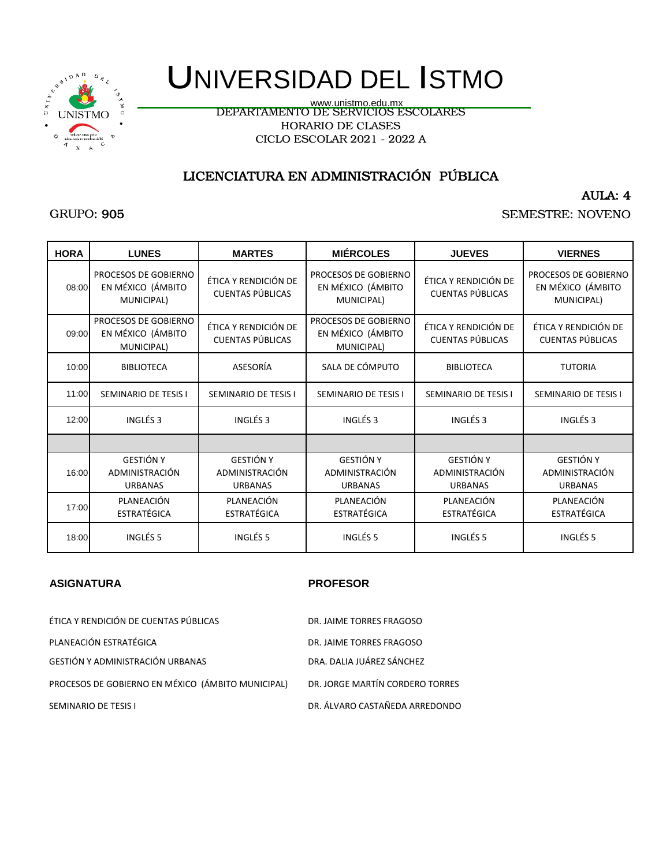

# UNIVERSIDAD DEL ISTMO

DEPARTAMENTO DE SERVICIOS ESCOLARES HORARIO DE CLASES CICLO ESCOLAR 2021 - 2022 A www.unistmo.edu.mx

# LICENCIATURA EN ADMINISTRACIÓN PÚBLICA

AULA: 4

SEMESTRE: NOVENO

| <b>HORA</b> | <b>LUNES</b>                                            | <b>MARTES</b>                                        | <b>MIÉRCOLES</b>                                        | <b>JUEVES</b>                                        | <b>VIERNES</b>                                          |
|-------------|---------------------------------------------------------|------------------------------------------------------|---------------------------------------------------------|------------------------------------------------------|---------------------------------------------------------|
| 08:00       | PROCESOS DE GOBIERNO<br>EN MÉXICO (ÁMBITO<br>MUNICIPAL) | ÉTICA Y RENDICIÓN DE<br><b>CUENTAS PÚBLICAS</b>      | PROCESOS DE GOBIERNO<br>EN MÉXICO (ÁMBITO<br>MUNICIPAL) | ÉTICA Y RENDICIÓN DE<br><b>CUENTAS PÚBLICAS</b>      | PROCESOS DE GOBIERNO<br>EN MÉXICO (ÁMBITO<br>MUNICIPAL) |
| 09:00       | PROCESOS DE GOBIERNO<br>EN MÉXICO (ÁMBITO<br>MUNICIPAL) | ÉTICA Y RENDICIÓN DE<br><b>CUENTAS PÚBLICAS</b>      | PROCESOS DE GOBIERNO<br>EN MÉXICO (ÁMBITO<br>MUNICIPAL) | ÉTICA Y RENDICIÓN DE<br><b>CUENTAS PÚBLICAS</b>      | ÉTICA Y RENDICIÓN DE<br><b>CUENTAS PÚBLICAS</b>         |
| 10:00       | <b>BIBLIOTECA</b>                                       | ASESORÍA                                             | SALA DE CÓMPUTO                                         | <b>BIBLIOTECA</b>                                    | <b>TUTORIA</b>                                          |
| 11:00       | SEMINARIO DE TESIS I                                    | SEMINARIO DE TESIS I                                 | <b>SEMINARIO DE TESIS I</b>                             | SEMINARIO DE TESIS I                                 | <b>SEMINARIO DE TESIS I</b>                             |
| 12:00       | INGLÉS <sub>3</sub>                                     | INGLÉS <sub>3</sub>                                  | INGLÉS <sub>3</sub>                                     | INGLÉS <sub>3</sub>                                  | INGLÉS <sub>3</sub>                                     |
|             |                                                         |                                                      |                                                         |                                                      |                                                         |
| 16:00       | <b>GESTIÓN Y</b><br>ADMINISTRACIÓN<br><b>URBANAS</b>    | <b>GESTIÓN Y</b><br>ADMINISTRACIÓN<br><b>URBANAS</b> | <b>GESTIÓN Y</b><br>ADMINISTRACIÓN<br><b>URBANAS</b>    | <b>GESTIÓN Y</b><br>ADMINISTRACIÓN<br><b>URBANAS</b> | <b>GESTIÓN Y</b><br>ADMINISTRACIÓN<br><b>URBANAS</b>    |
| 17:00       | PLANEACIÓN<br><b>ESTRATÉGICA</b>                        | PLANEACIÓN<br><b>ESTRATÉGICA</b>                     | PLANEACIÓN<br><b>ESTRATÉGICA</b>                        | PLANEACIÓN<br><b>ESTRATÉGICA</b>                     | PLANEACIÓN<br><b>ESTRATÉGICA</b>                        |
| 18:00       | INGLÉS <sub>5</sub>                                     | INGLÉS <sub>5</sub>                                  | INGLÉS <sub>5</sub>                                     | INGLÉS <sub>5</sub>                                  | INGLÉS <sub>5</sub>                                     |

| ÉTICA Y RENDICIÓN DE CUENTAS PÚBLICAS             | DR. JAIME TORRES FRAGOSO        |
|---------------------------------------------------|---------------------------------|
| PLANEACIÓN ESTRATÉGICA                            | DR. JAIME TORRES FRAGOSO        |
| GESTIÓN Y ADMINISTRACIÓN URBANAS                  | DRA. DALIA JUÁREZ SÁNCHEZ       |
| PROCESOS DE GOBIERNO EN MÉXICO (ÁMBITO MUNICIPAL) | DR. JORGE MARTÍN CORDERO TORRES |
| SEMINARIO DE TESIS I                              | DR. ÁLVARO CASTAÑEDA ARREDONDO  |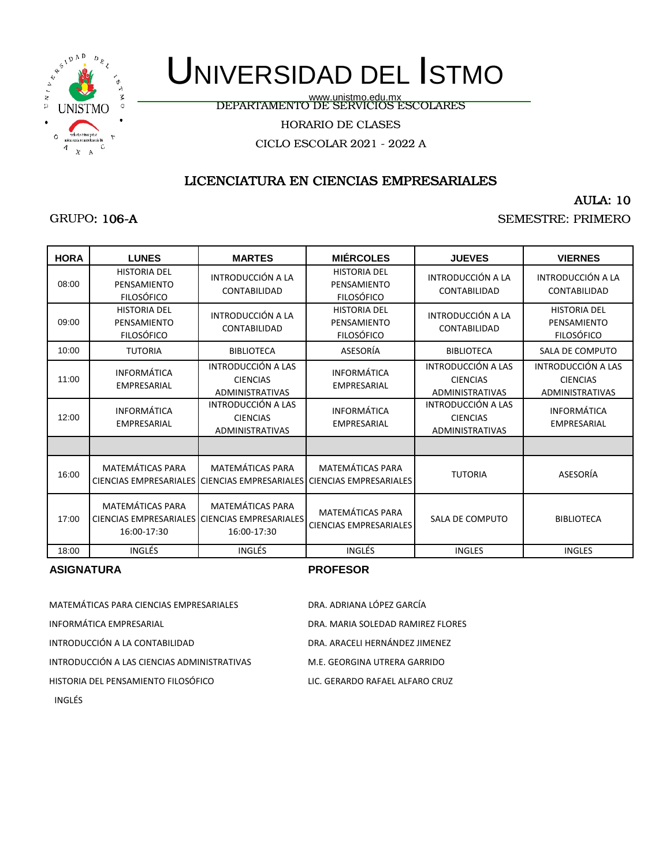

GRUPO: 106-A

# UNIVERSIDAD DEL ISTMO

www.unistmo.edu.mx<br>DEPARTAMENTO DE SERVICIOS ESCOLARES

HORARIO DE CLASES

CICLO ESCOLAR 2021 - 2022 A

## LICENCIATURA EN CIENCIAS EMPRESARIALES

### AULA: 10

SEMESTRE: PRIMERO

| <b>HORA</b> | <b>LUNES</b>                                            | <b>MARTES</b>                                                                           | <b>MIÉRCOLES</b>                                                                                | <b>JUEVES</b>                                                   | <b>VIERNES</b>                                           |
|-------------|---------------------------------------------------------|-----------------------------------------------------------------------------------------|-------------------------------------------------------------------------------------------------|-----------------------------------------------------------------|----------------------------------------------------------|
| 08:00       | <b>HISTORIA DEL</b><br>PENSAMIENTO<br><b>FILOSÓFICO</b> | INTRODUCCIÓN A LA<br>CONTABILIDAD                                                       | <b>HISTORIA DEL</b><br>PENSAMIENTO<br><b>FILOSÓFICO</b>                                         | INTRODUCCIÓN A LA<br>CONTABILIDAD                               | INTRODUCCIÓN A LA<br>CONTABILIDAD                        |
| 09:00       | <b>HISTORIA DEL</b><br>PENSAMIENTO<br><b>FILOSÓFICO</b> | INTRODUCCIÓN A LA<br>CONTABILIDAD                                                       | <b>HISTORIA DEL</b><br>PENSAMIENTO<br><b>FILOSÓFICO</b>                                         | INTRODUCCIÓN A LA<br>CONTABILIDAD                               | <b>HISTORIA DEL</b><br>PENSAMIENTO<br><b>FILOSÓFICO</b>  |
| 10:00       | <b>TUTORIA</b>                                          | <b>BIBLIOTECA</b>                                                                       | ASESORÍA                                                                                        | <b>BIBLIOTECA</b>                                               | SALA DE COMPUTO                                          |
| 11:00       | <b>INFORMÁTICA</b><br>EMPRESARIAL                       | INTRODUCCIÓN A LAS<br><b>CIENCIAS</b><br><b>ADMINISTRATIVAS</b>                         | <b>INFORMÁTICA</b><br>EMPRESARIAL                                                               | INTRODUCCIÓN A LAS<br><b>CIENCIAS</b><br>ADMINISTRATIVAS        | INTRODUCCIÓN A LAS<br><b>CIENCIAS</b><br>ADMINISTRATIVAS |
| 12:00       | <b>INFORMÁTICA</b><br><b>EMPRESARIAL</b>                | INTRODUCCIÓN A LAS<br><b>CIENCIAS</b><br><b>ADMINISTRATIVAS</b>                         | <b>INFORMÁTICA</b><br><b>EMPRESARIAL</b>                                                        | INTRODUCCIÓN A LAS<br><b>CIENCIAS</b><br><b>ADMINISTRATIVAS</b> | <b>INFORMÁTICA</b><br><b>EMPRESARIAL</b>                 |
|             |                                                         |                                                                                         |                                                                                                 |                                                                 |                                                          |
| 16:00       | <b>MATEMÁTICAS PARA</b>                                 | <b>MATEMÁTICAS PARA</b>                                                                 | <b>MATEMÁTICAS PARA</b><br>CIENCIAS EMPRESARIALES CIENCIAS EMPRESARIALES CIENCIAS EMPRESARIALES | <b>TUTORIA</b>                                                  | ASESORÍA                                                 |
| 17:00       | <b>MATEMÁTICAS PARA</b><br>16:00-17:30                  | <b>MATEMÁTICAS PARA</b><br>CIENCIAS EMPRESARIALES CIENCIAS EMPRESARIALES<br>16:00-17:30 | <b>MATEMÁTICAS PARA</b><br><b>CIENCIAS EMPRESARIALES</b>                                        | <b>SALA DE COMPUTO</b>                                          | <b>BIBLIOTECA</b>                                        |
| 18:00       | <b>INGLÉS</b>                                           | INGLÉS                                                                                  | INGLÉS                                                                                          | <b>INGLES</b>                                                   | <b>INGLES</b>                                            |

#### **ASIGNATURA PROFESOR**

| MATEMÁTICAS PARA CIENCIAS EMPRESARIALES     | DRA. ADRIANA LÓPEZ GARCÍA         |
|---------------------------------------------|-----------------------------------|
| INFORMÁTICA EMPRESARIAL                     | DRA. MARIA SOLEDAD RAMIREZ FLORES |
| INTRODUCCIÓN A LA CONTABILIDAD              | DRA. ARACELI HERNÁNDEZ JIMENEZ    |
| INTRODUCCIÓN A LAS CIENCIAS ADMINISTRATIVAS | M.E. GEORGINA UTRERA GARRIDO      |
| HISTORIA DEL PENSAMIENTO FILOSÓFICO         | LIC. GERARDO RAFAEL ALFARO CRUZ   |

INGLÉS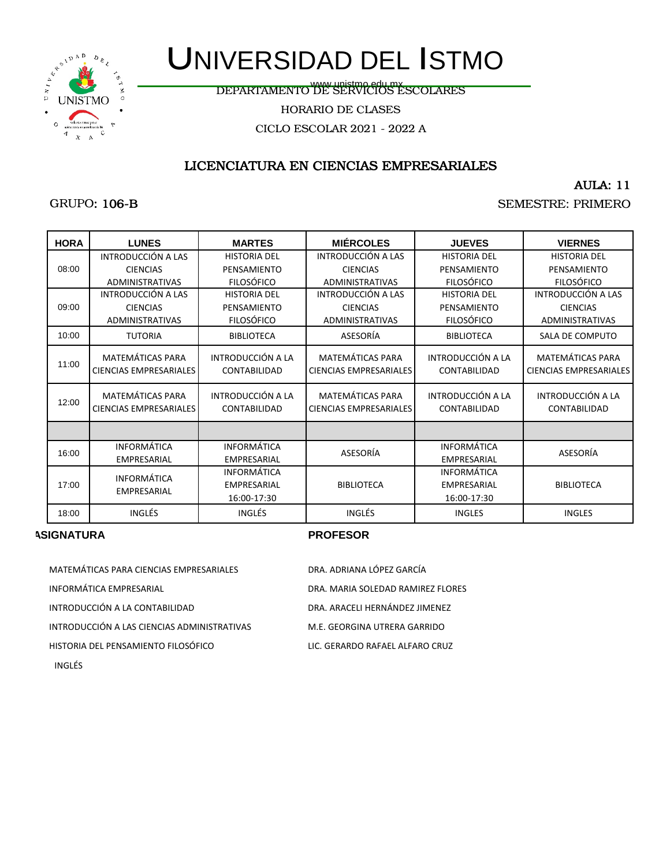

DEPARTAMENTO DE SERVICIOS ESCOLARES www.unistmo.edu.mx

HORARIO DE CLASES

CICLO ESCOLAR 2021 - 2022 A

### LICENCIATURA EN CIENCIAS EMPRESARIALES

AULA: 11

### GRUPO: 106-B

SEMESTRE: PRIMERO

| <b>HORA</b> | <b>LUNES</b>                                             | <b>MARTES</b>                            | <b>MIÉRCOLES</b>                                         | <b>JUEVES</b>                            | <b>VIERNES</b>                                           |
|-------------|----------------------------------------------------------|------------------------------------------|----------------------------------------------------------|------------------------------------------|----------------------------------------------------------|
|             | INTRODUCCIÓN A LAS                                       | <b>HISTORIA DEL</b>                      | INTRODUCCIÓN A LAS                                       | <b>HISTORIA DEL</b>                      | <b>HISTORIA DEL</b>                                      |
| 08:00       | <b>CIENCIAS</b>                                          | PENSAMIENTO                              | <b>CIENCIAS</b>                                          | PENSAMIENTO                              | PENSAMIENTO                                              |
|             | ADMINISTRATIVAS                                          | <b>FILOSÓFICO</b>                        | <b>ADMINISTRATIVAS</b>                                   | <b>FILOSÓFICO</b>                        | <b>FILOSÓFICO</b>                                        |
|             | INTRODUCCIÓN A LAS                                       | <b>HISTORIA DEL</b>                      | INTRODUCCIÓN A LAS                                       | <b>HISTORIA DEL</b>                      | INTRODUCCIÓN A LAS                                       |
| 09:00       | <b>CIENCIAS</b>                                          | PENSAMIENTO                              | <b>CIENCIAS</b>                                          | PENSAMIENTO                              | <b>CIENCIAS</b>                                          |
|             | ADMINISTRATIVAS                                          | <b>FILOSÓFICO</b>                        | <b>ADMINISTRATIVAS</b>                                   | <b>FILOSÓFICO</b>                        | <b>ADMINISTRATIVAS</b>                                   |
| 10:00       | <b>TUTORIA</b>                                           | <b>BIBLIOTECA</b>                        | ASESORÍA                                                 | <b>BIBLIOTECA</b>                        | SALA DE COMPUTO                                          |
| 11:00       | <b>MATEMÁTICAS PARA</b><br><b>CIENCIAS EMPRESARIALES</b> | INTRODUCCIÓN A LA<br><b>CONTABILIDAD</b> | <b>MATEMÁTICAS PARA</b><br><b>CIENCIAS EMPRESARIALES</b> | INTRODUCCIÓN A LA<br><b>CONTABILIDAD</b> | <b>MATEMÁTICAS PARA</b><br><b>CIENCIAS EMPRESARIALES</b> |
| 12:00       | <b>MATEMÁTICAS PARA</b><br><b>CIENCIAS EMPRESARIALES</b> | INTRODUCCIÓN A LA<br><b>CONTABILIDAD</b> | <b>MATEMÁTICAS PARA</b><br>CIENCIAS EMPRESARIALES        | INTRODUCCIÓN A LA<br><b>CONTABILIDAD</b> | INTRODUCCIÓN A LA<br>CONTABILIDAD                        |
|             |                                                          |                                          |                                                          |                                          |                                                          |
| 16:00       | <b>INFORMÁTICA</b>                                       | <b>INFORMÁTICA</b>                       | ASESORÍA                                                 | <b>INFORMÁTICA</b>                       | ASESORÍA                                                 |
|             | EMPRESARIAL                                              | <b>EMPRESARIAL</b>                       |                                                          | EMPRESARIAL                              |                                                          |
|             | <b>INFORMÁTICA</b>                                       | INFORMÁTICA                              |                                                          | INFORMÁTICA                              |                                                          |
| 17:00       | <b>EMPRESARIAL</b>                                       | <b>EMPRESARIAL</b>                       | <b>BIBLIOTECA</b>                                        | EMPRESARIAL                              | <b>BIBLIOTECA</b>                                        |
|             |                                                          | 16:00-17:30                              |                                                          | 16:00-17:30                              |                                                          |
| 18:00       | INGLÉS                                                   | INGLÉS                                   | <b>INGLÉS</b>                                            | <b>INGLES</b>                            | <b>INGLES</b>                                            |

| MATEMÁTICAS PARA CIENCIAS EMPRESARIALES     | DRA. ADRIANA LÓPEZ GARCÍA         |
|---------------------------------------------|-----------------------------------|
| INFORMÁTICA EMPRESARIAL                     | DRA. MARIA SOLEDAD RAMIREZ FLORES |
| INTRODUCCIÓN A LA CONTABILIDAD              | DRA. ARACELI HERNÁNDEZ JIMENEZ    |
| INTRODUCCIÓN A LAS CIENCIAS ADMINISTRATIVAS | M.E. GEORGINA UTRERA GARRIDO      |
| HISTORIA DEL PENSAMIENTO FILOSÓFICO         | LIC. GERARDO RAFAEL ALFARO CRUZ   |
| INGLÉS                                      |                                   |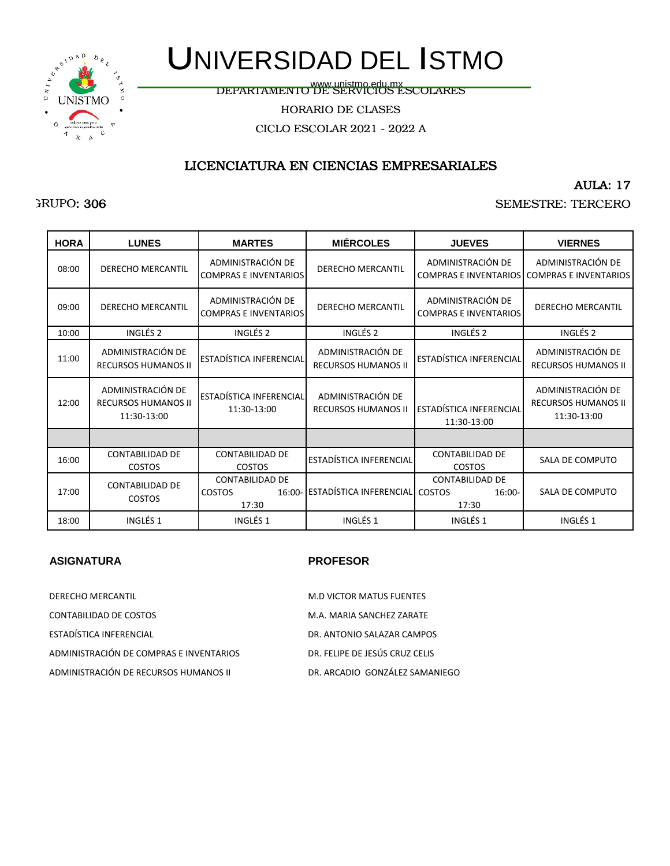

# UNIVERSIDAD DEL ISTMO

www.unistmo.edu.mx<br>DEPARTAMENTO DE SERVICIOS ESCOLARES

HORARIO DE CLASES

CICLO ESCOLAR 2021 - 2022 A

### LICENCIATURA EN CIENCIAS EMPRESARIALES

AULA: 17

SEMESTRE: TERCERO

| <b>HORA</b> | <b>LUNES</b>                                                   | <b>MARTES</b>                                     | <b>MIÉRCOLES</b>                                | <b>JUEVES</b>                                     | <b>VIERNES</b>                                                 |
|-------------|----------------------------------------------------------------|---------------------------------------------------|-------------------------------------------------|---------------------------------------------------|----------------------------------------------------------------|
| 08:00       | <b>DERECHO MERCANTIL</b>                                       | ADMINISTRACIÓN DE<br><b>COMPRAS E INVENTARIOS</b> | <b>DERECHO MERCANTIL</b>                        | ADMINISTRACIÓN DE<br><b>COMPRAS E INVENTARIOS</b> | ADMINISTRACIÓN DE<br><b>COMPRAS E INVENTARIOS</b>              |
| 09:00       | <b>DERECHO MERCANTIL</b>                                       | ADMINISTRACIÓN DE<br><b>COMPRAS E INVENTARIOS</b> | <b>DERECHO MERCANTIL</b>                        | ADMINISTRACIÓN DE<br><b>COMPRAS E INVENTARIOS</b> | <b>DERECHO MERCANTIL</b>                                       |
| 10:00       | INGLÉS <sub>2</sub>                                            | INGLÉS <sub>2</sub>                               | INGLÉS <sub>2</sub>                             | INGLÉS <sub>2</sub>                               | INGLÉS <sub>2</sub>                                            |
| 11:00       | ADMINISTRACIÓN DE<br><b>RECURSOS HUMANOS II</b>                | ESTADÍSTICA INFERENCIAL                           | ADMINISTRACIÓN DE<br><b>RECURSOS HUMANOS II</b> | ESTADÍSTICA INFERENCIAL                           | ADMINISTRACIÓN DE<br><b>RECURSOS HUMANOS II</b>                |
| 12:00       | ADMINISTRACIÓN DE<br><b>RECURSOS HUMANOS II</b><br>11:30-13:00 | ESTADÍSTICA INFERENCIAL<br>11:30-13:00            | ADMINISTRACIÓN DE<br><b>RECURSOS HUMANOS II</b> | ESTADÍSTICA INFERENCIAL<br>11:30-13:00            | ADMINISTRACIÓN DE<br><b>RECURSOS HUMANOS II</b><br>11:30-13:00 |
|             |                                                                |                                                   |                                                 |                                                   |                                                                |
| 16:00       | <b>CONTABILIDAD DE</b><br>COSTOS                               | <b>CONTABILIDAD DE</b><br>COSTOS                  | ESTADÍSTICA INFERENCIAL                         | <b>CONTABILIDAD DE</b><br>COSTOS                  | SALA DE COMPUTO                                                |
| 17:00       | <b>CONTABILIDAD DE</b><br>COSTOS                               | <b>CONTABILIDAD DE</b><br><b>COSTOS</b><br>17:30  | 16:00- ESTADÍSTICA INFERENCIAL COSTOS           | <b>CONTABILIDAD DE</b><br>$16:00 -$<br>17:30      | SALA DE COMPUTO                                                |
| 18:00       | INGLÉS <sub>1</sub>                                            | INGLÉS <sub>1</sub>                               | INGLÉS <sub>1</sub>                             | INGLÉS <sub>1</sub>                               | INGLÉS <sub>1</sub>                                            |

| DERECHO MERCANTIL                       | <b>M.D VICTOR MATUS FUENTES</b> |
|-----------------------------------------|---------------------------------|
| CONTABILIDAD DE COSTOS                  | M.A. MARIA SANCHEZ ZARATE       |
| ESTADÍSTICA INFERENCIAL                 | DR. ANTONIO SALAZAR CAMPOS      |
| ADMINISTRACIÓN DE COMPRAS E INVENTARIOS | DR. FELIPE DE JESÚS CRUZ CELIS  |
| ADMINISTRACIÓN DE RECURSOS HUMANOS II.  | DR. ARCADIO GONZÁLEZ SAMANIEGO  |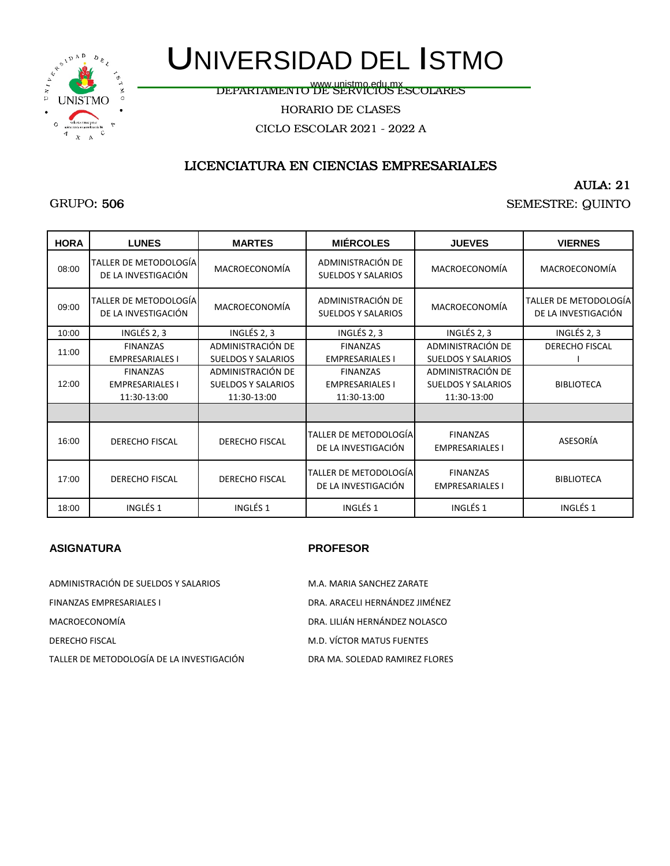

# UNIVERSIDAD DEL ISTMO

www.unistmo.edu.mx<br>DEPARTAMENTO DE SERVICIOS ESCOLARES

HORARIO DE CLASES

CICLO ESCOLAR 2021 - 2022 A

### LICENCIATURA EN CIENCIAS EMPRESARIALES

#### AULA: 21

### SEMESTRE: QUINTO

| <b>HORA</b> | <b>LUNES</b>                                 | <b>MARTES</b>             | <b>MIÉRCOLES</b>                               | <b>JUEVES</b>                             | <b>VIERNES</b>                               |
|-------------|----------------------------------------------|---------------------------|------------------------------------------------|-------------------------------------------|----------------------------------------------|
| 08:00       | TALLER DE METODOLOGÍA<br>DE LA INVESTIGACIÓN | MACROECONOMÍA             | ADMINISTRACIÓN DE<br><b>SUELDOS Y SALARIOS</b> | MACROECONOMÍA                             | MACROECONOMÍA                                |
| 09:00       | TALLER DE METODOLOGÍA<br>DE LA INVESTIGACIÓN | MACROECONOMÍA             | ADMINISTRACIÓN DE<br><b>SUELDOS Y SALARIOS</b> | MACROECONOMÍA                             | TALLER DE METODOLOGÍA<br>DE LA INVESTIGACIÓN |
| 10:00       | INGLÉS 2, 3                                  | INGLÉS 2, 3               | INGLÉS 2, 3                                    | INGLÉS 2, 3                               | INGLÉS 2, 3                                  |
| 11:00       | <b>FINANZAS</b>                              | ADMINISTRACIÓN DE         | <b>FINANZAS</b>                                | ADMINISTRACIÓN DE                         | DERECHO FISCAL                               |
|             | <b>EMPRESARIALES I</b>                       | <b>SUELDOS Y SALARIOS</b> | <b>EMPRESARIALES I</b>                         | <b>SUELDOS Y SALARIOS</b>                 |                                              |
|             | <b>FINANZAS</b>                              | ADMINISTRACIÓN DE         | <b>FINANZAS</b>                                | ADMINISTRACIÓN DE                         |                                              |
| 12:00       | <b>EMPRESARIALES I</b>                       | <b>SUELDOS Y SALARIOS</b> | <b>EMPRESARIALES I</b>                         | <b>SUELDOS Y SALARIOS</b>                 | <b>BIBLIOTECA</b>                            |
|             | 11:30-13:00                                  | 11:30-13:00               | 11:30-13:00                                    | 11:30-13:00                               |                                              |
|             |                                              |                           |                                                |                                           |                                              |
| 16:00       | <b>DERECHO FISCAL</b>                        | DERECHO FISCAL            | TALLER DE METODOLOGÍA<br>DE LA INVESTIGACIÓN   | <b>FINANZAS</b><br><b>EMPRESARIALES I</b> | ASESORÍA                                     |
| 17:00       | <b>DERECHO FISCAL</b>                        | DERECHO FISCAL            | TALLER DE METODOLOGÍA<br>DE LA INVESTIGACIÓN   | <b>FINANZAS</b><br><b>EMPRESARIALES I</b> | <b>BIBLIOTECA</b>                            |
| 18:00       | INGLÉS <sub>1</sub>                          | INGLÉS <sub>1</sub>       | INGLÉS <sub>1</sub>                            | INGLÉS <sub>1</sub>                       | INGLÉS <sub>1</sub>                          |

| ADMINISTRACIÓN DE SUELDOS Y SALARIOS      | M.A. MARIA SANCHEZ ZARATE      |
|-------------------------------------------|--------------------------------|
| <b>FINANZAS EMPRESARIALES I</b>           | DRA. ARACELI HERNÁNDEZ JIMÉNEZ |
| MACROECONOMÍA                             | DRA. LILIÁN HERNÁNDEZ NOLASCO  |
| <b>DERECHO FISCAL</b>                     | M.D. VÍCTOR MATUS FUENTES      |
| TALLER DE METODOLOGÍA DE LA INVESTIGACIÓN | DRA MA. SOLEDAD RAMIREZ FLORES |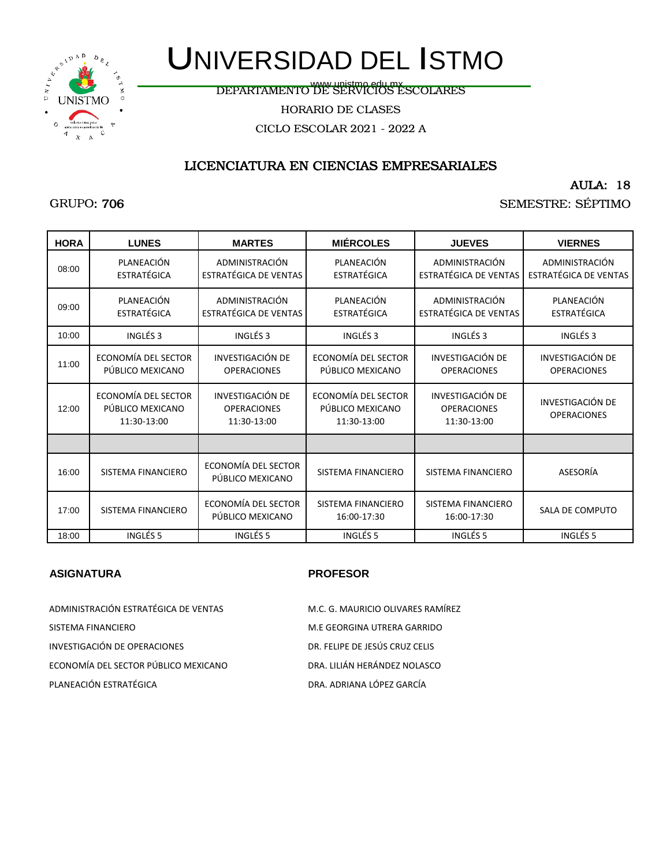

# UNIVERSIDAD DEL ISTMO

DEPARTAMENTO DE SERVICIOS ESCOLARES www.unistmo.edu.mx

HORARIO DE CLASES

CICLO ESCOLAR 2021 - 2022 A

### LICENCIATURA EN CIENCIAS EMPRESARIALES

AULA: 18

#### SEMESTRE: SÉPTIMO

| <b>HORA</b> | <b>LUNES</b>                                           | <b>MARTES</b>                                         | <b>MIÉRCOLES</b>                                       | <b>JUEVES</b>                                         | <b>VIERNES</b>                          |
|-------------|--------------------------------------------------------|-------------------------------------------------------|--------------------------------------------------------|-------------------------------------------------------|-----------------------------------------|
| 08:00       | PLANEACIÓN<br><b>ESTRATÉGICA</b>                       | ADMINISTRACIÓN<br>ESTRATÉGICA DE VENTAS               | PLANEACIÓN<br><b>ESTRATÉGICA</b>                       | ADMINISTRACIÓN<br><b>ESTRATÉGICA DE VENTAS</b>        | ADMINISTRACIÓN<br>ESTRATÉGICA DE VENTAS |
| 09:00       | PLANEACIÓN<br><b>ESTRATÉGICA</b>                       | ADMINISTRACIÓN<br>ESTRATÉGICA DE VENTAS               | PLANEACIÓN<br><b>ESTRATÉGICA</b>                       | ADMINISTRACIÓN<br><b>ESTRATÉGICA DE VENTAS</b>        | PLANEACIÓN<br><b>ESTRATÉGICA</b>        |
| 10:00       | INGLÉS <sub>3</sub>                                    | INGLÉS <sub>3</sub>                                   | INGLÉS 3                                               | INGLÉS <sub>3</sub>                                   | INGLÉS <sub>3</sub>                     |
| 11:00       | ECONOMÍA DEL SECTOR<br>PÚBLICO MEXICANO                | <b>INVESTIGACIÓN DE</b><br><b>OPERACIONES</b>         | ECONOMÍA DEL SECTOR<br>PÚBLICO MEXICANO                | <b>INVESTIGACIÓN DE</b><br><b>OPERACIONES</b>         | INVESTIGACIÓN DE<br><b>OPERACIONES</b>  |
| 12:00       | ECONOMÍA DEL SECTOR<br>PÚBLICO MEXICANO<br>11:30-13:00 | INVESTIGACIÓN DE<br><b>OPERACIONES</b><br>11:30-13:00 | ECONOMÍA DEL SECTOR<br>PÚBLICO MEXICANO<br>11:30-13:00 | INVESTIGACIÓN DE<br><b>OPERACIONES</b><br>11:30-13:00 | INVESTIGACIÓN DE<br><b>OPERACIONES</b>  |
|             |                                                        |                                                       |                                                        |                                                       |                                         |
| 16:00       | SISTEMA FINANCIERO                                     | ECONOMÍA DEL SECTOR<br>PÚBLICO MEXICANO               | SISTEMA FINANCIERO                                     | SISTEMA FINANCIERO                                    | ASESORÍA                                |
| 17:00       | SISTEMA FINANCIERO                                     | ECONOMÍA DEL SECTOR<br>PÚBLICO MEXICANO               | SISTEMA FINANCIERO<br>16:00-17:30                      | SISTEMA FINANCIERO<br>16:00-17:30                     | SALA DE COMPUTO                         |
| 18:00       | INGLÉS <sub>5</sub>                                    | INGLÉS <sub>5</sub>                                   | INGLÉS <sub>5</sub>                                    | INGLÉS 5                                              | INGLÉS <sub>5</sub>                     |

| ADMINISTRACIÓN ESTRATÉGICA DE VENTAS | M.C. G. MAURICIO OLIVARES RAMÍREZ |
|--------------------------------------|-----------------------------------|
| SISTEMA FINANCIERO                   | M.E GEORGINA UTRERA GARRIDO       |
| INVESTIGACIÓN DE OPERACIONES         | DR. FELIPE DE JESÚS CRUZ CELIS    |
| ECONOMÍA DEL SECTOR PÚBLICO MEXICANO | DRA. LILIÁN HERÁNDEZ NOLASCO      |
| PLANEACIÓN ESTRATÉGICA               | DRA. ADRIANA LÓPEZ GARCÍA         |
|                                      |                                   |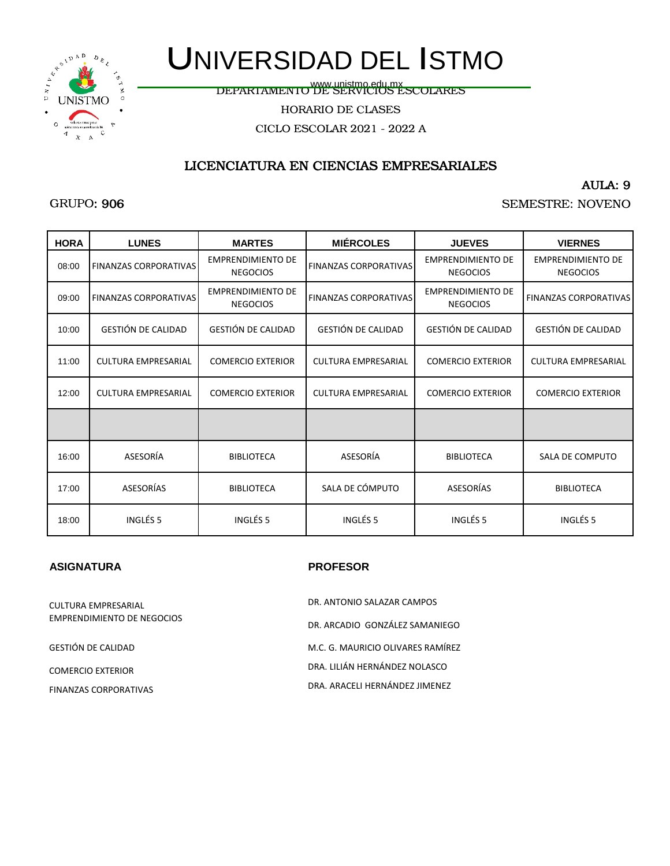

# UNIVERSIDAD DEL ISTMO

www.unistmo.edu.mx<br>DEPARTAMENTO DE SERVICIOS ESCOLARES

HORARIO DE CLASES

CICLO ESCOLAR 2021 - 2022 A

### LICENCIATURA EN CIENCIAS EMPRESARIALES

#### AULA: 9

#### SEMESTRE: NOVENO

| <b>HORA</b> | <b>LUNES</b>                 | <b>MARTES</b>                               | <b>MIÉRCOLES</b>             | <b>JUEVES</b>                               | <b>VIERNES</b>                              |
|-------------|------------------------------|---------------------------------------------|------------------------------|---------------------------------------------|---------------------------------------------|
| 08:00       | <b>FINANZAS CORPORATIVAS</b> | <b>EMPRENDIMIENTO DE</b><br><b>NEGOCIOS</b> | <b>FINANZAS CORPORATIVAS</b> | <b>EMPRENDIMIENTO DE</b><br><b>NEGOCIOS</b> | <b>EMPRENDIMIENTO DE</b><br><b>NEGOCIOS</b> |
| 09:00       | <b>FINANZAS CORPORATIVAS</b> | <b>EMPRENDIMIENTO DE</b><br><b>NEGOCIOS</b> | <b>FINANZAS CORPORATIVAS</b> | <b>EMPRENDIMIENTO DE</b><br><b>NEGOCIOS</b> | <b>FINANZAS CORPORATIVAS</b>                |
| 10:00       | <b>GESTIÓN DE CALIDAD</b>    | <b>GESTIÓN DE CALIDAD</b>                   | <b>GESTIÓN DE CALIDAD</b>    | <b>GESTIÓN DE CALIDAD</b>                   | <b>GESTIÓN DE CALIDAD</b>                   |
| 11:00       | <b>CULTURA EMPRESARIAL</b>   | <b>COMERCIO EXTERIOR</b>                    | <b>CULTURA EMPRESARIAL</b>   | <b>COMERCIO EXTERIOR</b>                    | <b>CULTURA EMPRESARIAL</b>                  |
| 12:00       | <b>CULTURA EMPRESARIAL</b>   | <b>COMERCIO EXTERIOR</b>                    | <b>CULTURA EMPRESARIAL</b>   | <b>COMERCIO EXTERIOR</b>                    | <b>COMERCIO EXTERIOR</b>                    |
|             |                              |                                             |                              |                                             |                                             |
| 16:00       | ASESORÍA                     | <b>BIBLIOTECA</b>                           | ASESORÍA                     | <b>BIBLIOTECA</b>                           | SALA DE COMPUTO                             |
| 17:00       | <b>ASESORÍAS</b>             | <b>BIBLIOTECA</b>                           | SALA DE CÓMPUTO              | ASESORÍAS                                   | <b>BIBLIOTECA</b>                           |
| 18:00       | INGLÉS <sub>5</sub>          | INGLÉS <sub>5</sub>                         | INGLÉS <sub>5</sub>          | INGLÉS <sub>5</sub>                         | INGLÉS <sub>5</sub>                         |

| CULTURA EMPRESARIAL               | DR. ANTONIO SALAZAR CAMPOS        |
|-----------------------------------|-----------------------------------|
| <b>EMPRENDIMIENTO DE NEGOCIOS</b> | DR. ARCADIO GONZÁLEZ SAMANIEGO    |
| GESTIÓN DE CALIDAD                | M.C. G. MAURICIO OLIVARES RAMÍREZ |
| COMERCIO EXTERIOR                 | DRA. LILIÁN HERNÁNDEZ NOLASCO     |
| FINANZAS CORPORATIVAS             | DRA. ARACELI HERNÁNDEZ JIMENEZ    |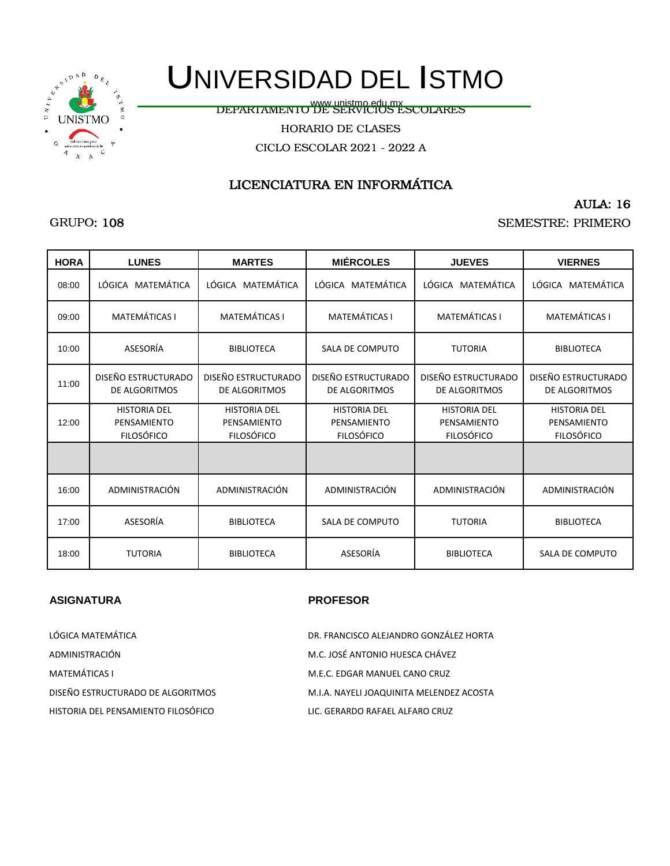

www.unistmo.edu.mx<br>DEPARTAMENTO DE SERVICIOS ESCOLARES

HORARIO DE CLASES

CICLO ESCOLAR 2021 - 2022 A

## LICENCIATURA EN INFORMÁTICA

### AULA: 16

SEMESTRE: PRIMERO

| <b>HORA</b> | <b>LUNES</b>                                            | <b>MARTES</b>                                           | <b>MIÉRCOLES</b>                                        | <b>JUEVES</b>                                           | <b>VIERNES</b>                                          |
|-------------|---------------------------------------------------------|---------------------------------------------------------|---------------------------------------------------------|---------------------------------------------------------|---------------------------------------------------------|
| 08:00       | LÓGICA MATEMÁTICA                                       | LÓGICA MATEMÁTICA                                       | LÓGICA MATEMÁTICA                                       | LÓGICA MATEMÁTICA                                       | LÓGICA MATEMÁTICA                                       |
| 09:00       | <b>MATEMÁTICAS I</b>                                    | <b>MATEMÁTICAS I</b>                                    | <b>MATEMÁTICAS I</b>                                    | <b>MATEMÁTICAS I</b>                                    | <b>MATEMÁTICAS I</b>                                    |
| 10:00       | ASESORÍA                                                | <b>BIBLIOTECA</b>                                       | SALA DE COMPUTO                                         | <b>TUTORIA</b>                                          | <b>BIBLIOTECA</b>                                       |
| 11:00       | DISEÑO ESTRUCTURADO<br>DE ALGORITMOS                    | DISEÑO ESTRUCTURADO<br>DE ALGORITMOS                    | DISEÑO ESTRUCTURADO<br>DE ALGORITMOS                    | DISEÑO ESTRUCTURADO<br>DE ALGORITMOS                    | DISEÑO ESTRUCTURADO<br>DE ALGORITMOS                    |
| 12:00       | <b>HISTORIA DEL</b><br>PENSAMIENTO<br><b>FILOSÓFICO</b> | <b>HISTORIA DEL</b><br>PENSAMIENTO<br><b>FILOSÓFICO</b> | <b>HISTORIA DEL</b><br>PENSAMIENTO<br><b>FILOSÓFICO</b> | <b>HISTORIA DEL</b><br>PENSAMIENTO<br><b>FILOSÓFICO</b> | <b>HISTORIA DEL</b><br>PENSAMIENTO<br><b>FILOSÓFICO</b> |
|             |                                                         |                                                         |                                                         |                                                         |                                                         |
| 16:00       | ADMINISTRACIÓN                                          | ADMINISTRACIÓN                                          | ADMINISTRACIÓN                                          | ADMINISTRACIÓN                                          | ADMINISTRACIÓN                                          |
| 17:00       | ASESORÍA                                                | <b>BIBLIOTECA</b>                                       | SALA DE COMPUTO                                         | <b>TUTORIA</b>                                          | <b>BIBLIOTECA</b>                                       |
| 18:00       | <b>TUTORIA</b>                                          | <b>BIBLIOTECA</b>                                       | ASESORÍA                                                | <b>BIBLIOTECA</b>                                       | <b>SALA DE COMPUTO</b>                                  |

#### **ASIGNATURA PROFESOR**

| LÓGICA MATEMÁTICA                   | DR. FRANCISCO ALEJANDRO GONZÁLEZ HORTA   |
|-------------------------------------|------------------------------------------|
| ADMINISTRACIÓN                      | M.C. JOSÉ ANTONIO HUESCA CHÁVEZ          |
| <b>MATEMÁTICAS I</b>                | M.E.C. EDGAR MANUEL CANO CRUZ            |
| DISEÑO ESTRUCTURADO DE ALGORITMOS   | M.I.A. NAYELI JOAQUINITA MELENDEZ ACOSTA |
| HISTORIA DEL PENSAMIENTO FILOSÓFICO | LIC. GERARDO RAFAEL ALFARO CRUZ          |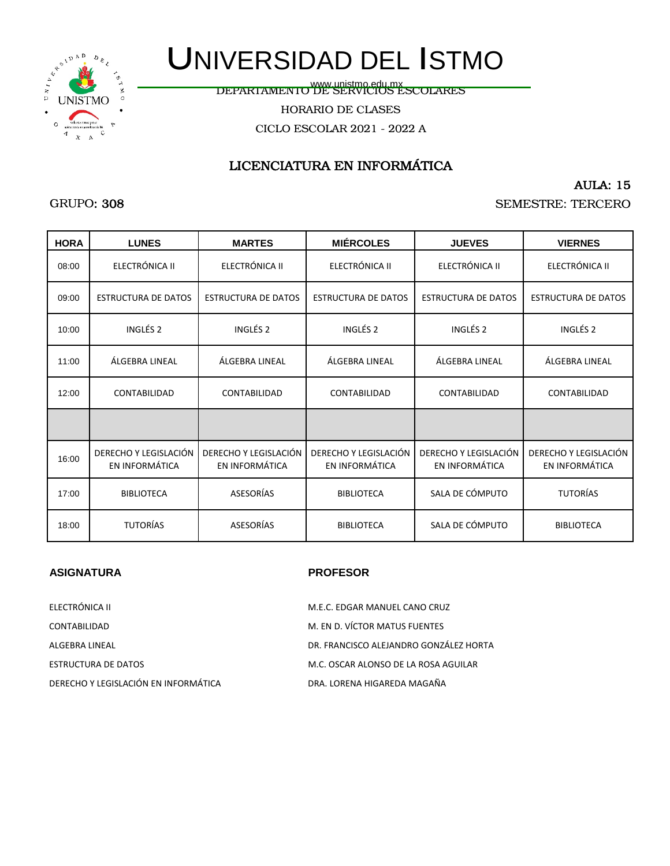

www.unistmo.edu.mx<br>DEPARTAMENTO DE SERVICIOS ESCOLARES

HORARIO DE CLASES

CICLO ESCOLAR 2021 - 2022 A

## LICENCIATURA EN INFORMÁTICA

#### AULA: 15

#### SEMESTRE: TERCERO

| <b>HORA</b> | <b>LUNES</b>                            | <b>MARTES</b>                           | <b>MIÉRCOLES</b>                        | <b>JUEVES</b>                           | <b>VIERNES</b>                          |
|-------------|-----------------------------------------|-----------------------------------------|-----------------------------------------|-----------------------------------------|-----------------------------------------|
| 08:00       | ELECTRÓNICA II                          | ELECTRÓNICA II                          | ELECTRÓNICA II                          | ELECTRÓNICA II                          | ELECTRÓNICA II                          |
| 09:00       | <b>ESTRUCTURA DE DATOS</b>              | <b>ESTRUCTURA DE DATOS</b>              | <b>ESTRUCTURA DE DATOS</b>              | <b>ESTRUCTURA DE DATOS</b>              | <b>ESTRUCTURA DE DATOS</b>              |
| 10:00       | INGLÉS <sub>2</sub>                     | INGLÉS <sub>2</sub>                     | INGLÉS <sub>2</sub>                     | INGLÉS <sub>2</sub>                     | INGLÉS <sub>2</sub>                     |
| 11:00       | ÁLGEBRA LINEAL                          | ÁLGEBRA LINEAL                          | ÁLGEBRA LINEAL                          | ÁLGEBRA LINEAL                          | ÁLGEBRA LINEAL                          |
| 12:00       | CONTABILIDAD                            | <b>CONTABILIDAD</b>                     | CONTABILIDAD                            | CONTABILIDAD                            | <b>CONTABILIDAD</b>                     |
|             |                                         |                                         |                                         |                                         |                                         |
| 16:00       | DERECHO Y LEGISLACIÓN<br>EN INFORMÁTICA | DERECHO Y LEGISLACIÓN<br>EN INFORMÁTICA | DERECHO Y LEGISLACIÓN<br>EN INFORMÁTICA | DERECHO Y LEGISLACIÓN<br>EN INFORMÁTICA | DERECHO Y LEGISLACIÓN<br>EN INFORMÁTICA |
| 17:00       | <b>BIBLIOTECA</b>                       | ASESORÍAS                               | <b>BIBLIOTECA</b>                       | SALA DE CÓMPUTO                         | <b>TUTORÍAS</b>                         |
| 18:00       | <b>TUTORÍAS</b>                         | ASESORÍAS                               | <b>BIBLIOTECA</b>                       | SALA DE CÓMPUTO                         | <b>BIBLIOTECA</b>                       |

### **ASIGNATURA PROFESOR**

| ELECTRÓNICA II                       | M.E.C. EDGAR MANUEL CANO CRUZ          |
|--------------------------------------|----------------------------------------|
| CONTABILIDAD                         | M. EN D. VÍCTOR MATUS FUENTES          |
| ALGEBRA LINEAL                       | DR. FRANCISCO ALEJANDRO GONZÁLEZ HORTA |
| ESTRUCTURA DE DATOS                  | M.C. OSCAR ALONSO DE LA ROSA AGUILAR   |
| DERECHO Y LEGISLACIÓN EN INFORMÁTICA | DRA. LORENA HIGAREDA MAGAÑA            |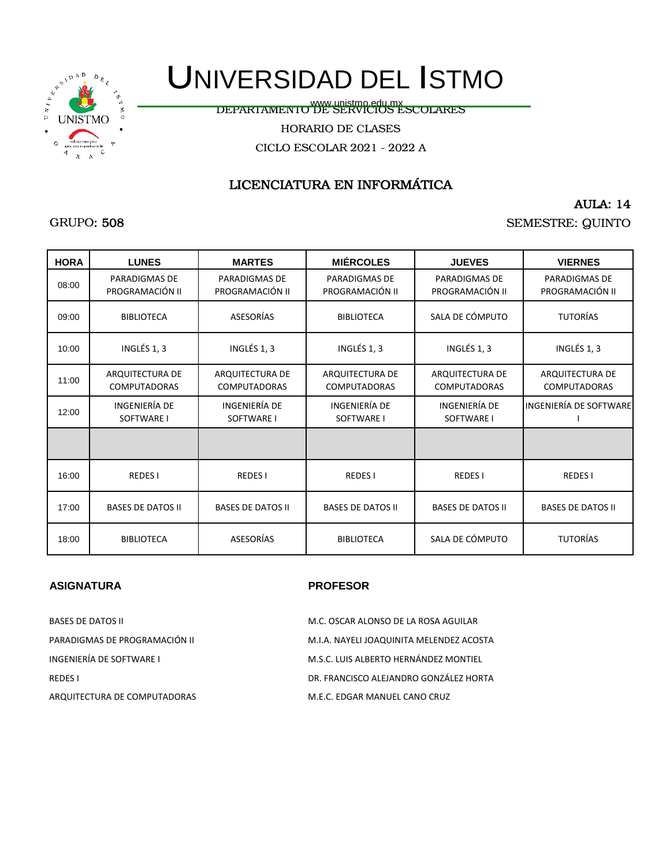

www.unistmo.edu.mx<br>DEPARTAMENTO DE SERVICIOS ESCOLARES

HORARIO DE CLASES

CICLO ESCOLAR 2021 - 2022 A

## LICENCIATURA EN INFORMÁTICA

AULA: 14

SEMESTRE: QUINTO

| <b>HORA</b> | <b>LUNES</b>                            | <b>MARTES</b>                           | <b>MIÉRCOLES</b>                        | <b>JUEVES</b>                           | <b>VIERNES</b>                          |
|-------------|-----------------------------------------|-----------------------------------------|-----------------------------------------|-----------------------------------------|-----------------------------------------|
| 08:00       | <b>PARADIGMAS DE</b><br>PROGRAMACIÓN II | <b>PARADIGMAS DE</b><br>PROGRAMACIÓN II | <b>PARADIGMAS DE</b><br>PROGRAMACIÓN II | <b>PARADIGMAS DE</b><br>PROGRAMACIÓN II | <b>PARADIGMAS DE</b><br>PROGRAMACIÓN II |
| 09:00       | <b>BIBLIOTECA</b>                       | <b>ASESORÍAS</b>                        | <b>BIBLIOTECA</b>                       | SALA DE CÓMPUTO                         | <b>TUTORÍAS</b>                         |
| 10:00       | INGLÉS 1, 3                             | INGLÉS 1, 3                             | INGLÉS 1, 3                             | INGLÉS 1, 3                             | INGLÉS 1, 3                             |
| 11:00       | ARQUITECTURA DE<br><b>COMPUTADORAS</b>  | ARQUITECTURA DE<br><b>COMPUTADORAS</b>  | ARQUITECTURA DE<br><b>COMPUTADORAS</b>  | ARQUITECTURA DE<br><b>COMPUTADORAS</b>  | ARQUITECTURA DE<br><b>COMPUTADORAS</b>  |
| 12:00       | INGENIERÍA DE<br><b>SOFTWARE I</b>      | INGENIERÍA DE<br>SOFTWARE I             | INGENIERÍA DE<br>SOFTWARE I             | INGENIERÍA DE<br>SOFTWARE I             | INGENIERÍA DE SOFTWARE                  |
|             |                                         |                                         |                                         |                                         |                                         |
| 16:00       | <b>REDESI</b>                           | <b>REDESI</b>                           | <b>REDESI</b>                           | <b>REDESI</b>                           | <b>REDESI</b>                           |
| 17:00       | <b>BASES DE DATOS II</b>                | <b>BASES DE DATOS II</b>                | <b>BASES DE DATOS II</b>                | <b>BASES DE DATOS II</b>                | <b>BASES DE DATOS II</b>                |
| 18:00       | <b>BIBLIOTECA</b>                       | <b>ASESORÍAS</b>                        | <b>BIBLIOTECA</b>                       | SALA DE CÓMPUTO                         | <b>TUTORÍAS</b>                         |

### **ASIGNATURA PROFESOR**

| <b>BASES DE DATOS II</b>      | M.C. OSCAR ALONSO DE LA ROSA AGUILAR     |
|-------------------------------|------------------------------------------|
| PARADIGMAS DE PROGRAMACIÓN II | M.I.A. NAYELI JOAQUINITA MELENDEZ ACOSTA |
| INGENIERÍA DE SOFTWARE I      | M.S.C. LUIS ALBERTO HERNÁNDEZ MONTIEL    |
| <b>REDES I</b>                | DR. FRANCISCO ALEJANDRO GONZÁLEZ HORTA   |
| ARQUITECTURA DE COMPUTADORAS  | M.E.C. EDGAR MANUEL CANO CRUZ            |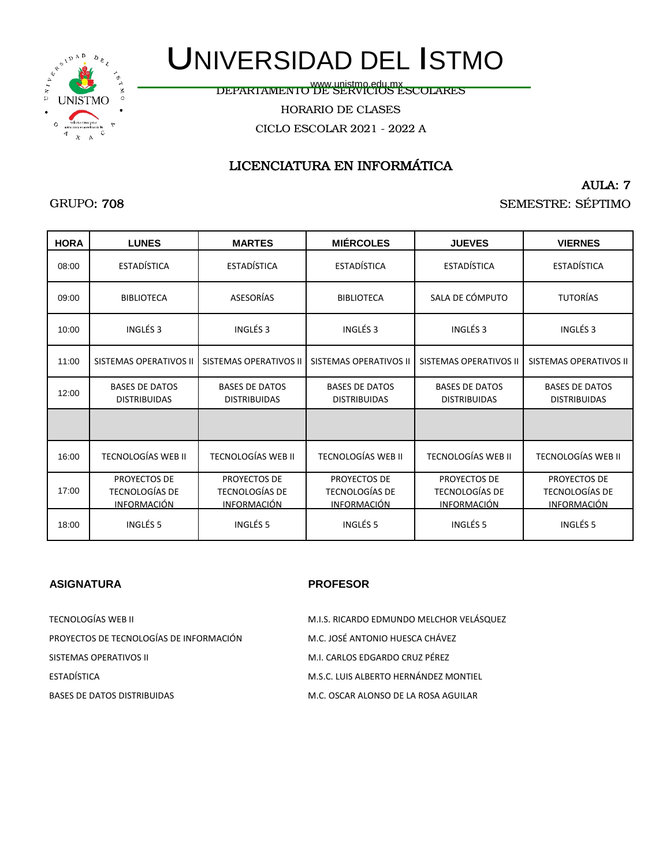

www.unistmo.edu.mx<br>DEPARTAMENTO DE SERVICIOS ESCOLARES

HORARIO DE CLASES

CICLO ESCOLAR 2021 - 2022 A

## LICENCIATURA EN INFORMÁTICA

AULA: 7

SEMESTRE: SÉPTIMO

| <b>HORA</b> | <b>LUNES</b>                                                | <b>MARTES</b>                                               | <b>MIÉRCOLES</b>                                     | <b>JUEVES</b>                                        | <b>VIERNES</b>                                       |
|-------------|-------------------------------------------------------------|-------------------------------------------------------------|------------------------------------------------------|------------------------------------------------------|------------------------------------------------------|
| 08:00       | <b>ESTADÍSTICA</b>                                          | <b>ESTADÍSTICA</b>                                          | <b>ESTADÍSTICA</b>                                   | <b>ESTADÍSTICA</b>                                   | <b>ESTADÍSTICA</b>                                   |
| 09:00       | <b>BIBLIOTECA</b>                                           | <b>ASESORÍAS</b>                                            | <b>BIBLIOTECA</b>                                    | SALA DE CÓMPUTO                                      | <b>TUTORÍAS</b>                                      |
| 10:00       | INGLÉS <sub>3</sub>                                         | INGLÉS <sub>3</sub>                                         | INGLÉS <sub>3</sub>                                  | INGLÉS <sub>3</sub>                                  | INGLÉS <sub>3</sub>                                  |
| 11:00       | <b>SISTEMAS OPERATIVOS II</b>                               | SISTEMAS OPERATIVOS II                                      | <b>SISTEMAS OPERATIVOS II</b>                        | <b>SISTEMAS OPERATIVOS II</b>                        | <b>SISTEMAS OPERATIVOS II</b>                        |
| 12:00       | <b>BASES DE DATOS</b><br><b>DISTRIBUIDAS</b>                | <b>BASES DE DATOS</b><br><b>DISTRIBUIDAS</b>                | <b>BASES DE DATOS</b><br><b>DISTRIBUIDAS</b>         | <b>BASES DE DATOS</b><br><b>DISTRIBUIDAS</b>         | <b>BASES DE DATOS</b><br><b>DISTRIBUIDAS</b>         |
|             |                                                             |                                                             |                                                      |                                                      |                                                      |
| 16:00       | <b>TECNOLOGÍAS WEB II</b>                                   | <b>TECNOLOGÍAS WEB II</b>                                   | <b>TECNOLOGÍAS WEB II</b>                            | <b>TECNOLOGÍAS WEB II</b>                            | <b>TECNOLOGÍAS WEB II</b>                            |
| 17:00       | PROYECTOS DE<br><b>TECNOLOGÍAS DE</b><br><u>INFORMACIÓN</u> | PROYECTOS DE<br><b>TECNOLOGÍAS DE</b><br><u>INFORMACIÓN</u> | PROYECTOS DE<br>TECNOLOGÍAS DE<br><u>INFORMACIÓN</u> | PROYECTOS DE<br>TECNOLOGÍAS DE<br><b>INFORMACIÓN</b> | PROYECTOS DE<br>TECNOLOGÍAS DE<br><b>INFORMACIÓN</b> |
| 18:00       | INGLÉS <sub>5</sub>                                         | INGLÉS <sub>5</sub>                                         | INGLÉS <sub>5</sub>                                  | INGLÉS <sub>5</sub>                                  | INGLÉS <sub>5</sub>                                  |

### **ASIGNATURA PROFESOR**

| TECNOLOGÍAS WEB II                      | M.I.S. RICARDO EDMUNDO MELCHOR VELÁSQUEZ |
|-----------------------------------------|------------------------------------------|
| PROYECTOS DE TECNOLOGÍAS DE INFORMACIÓN | M.C. JOSÉ ANTONIO HUESCA CHÁVEZ          |
| SISTEMAS OPERATIVOS II                  | M.I. CARLOS EDGARDO CRUZ PÉREZ           |
| ESTADÍSTICA                             | M.S.C. LUIS ALBERTO HERNÁNDEZ MONTIEL    |
| <b>BASES DE DATOS DISTRIBUIDAS</b>      | M.C. OSCAR ALONSO DE LA ROSA AGUILAR     |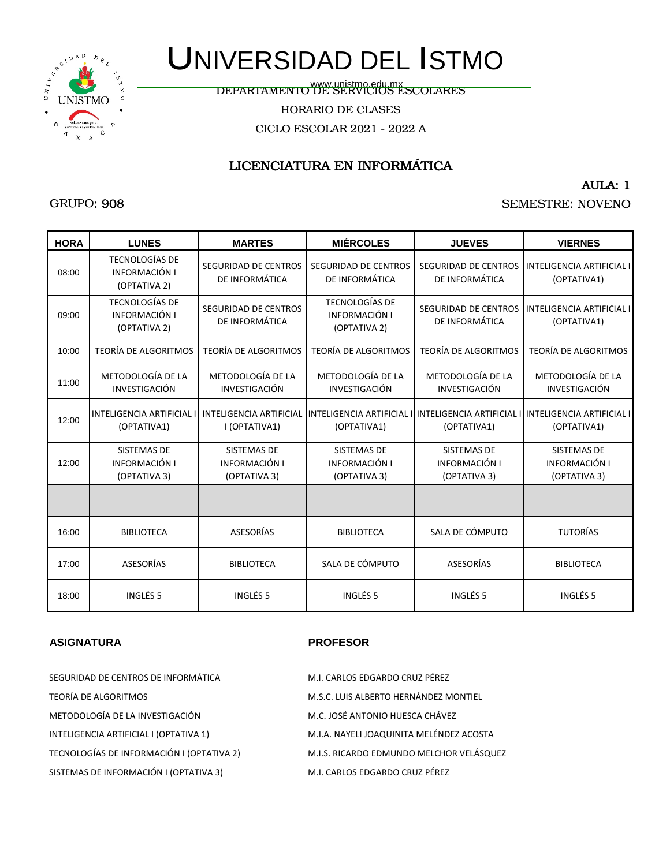

www.unistmo.edu.mx<br>DEPARTAMENTO DE SERVICIOS ESCOLARES

HORARIO DE CLASES

CICLO ESCOLAR 2021 - 2022 A

## LICENCIATURA EN INFORMÁTICA

#### AULA: 1

### SEMESTRE: NOVENO

| <b>HORA</b> | <b>LUNES</b>                                           | <b>MARTES</b>                                       | <b>MIÉRCOLES</b>                                       | <b>JUEVES</b>                                       | <b>VIERNES</b>                                                     |
|-------------|--------------------------------------------------------|-----------------------------------------------------|--------------------------------------------------------|-----------------------------------------------------|--------------------------------------------------------------------|
| 08:00       | <b>TECNOLOGÍAS DE</b><br>INFORMACIÓN I<br>(OPTATIVA 2) | SEGURIDAD DE CENTROS<br>DE INFORMÁTICA              | <b>SEGURIDAD DE CENTROS</b><br>DE INFORMÁTICA          | <b>SEGURIDAD DE CENTROS</b><br>DE INFORMÁTICA       | <b>INTELIGENCIA ARTIFICIAL II</b><br>(OPTATIVA1)                   |
| 09:00       | <b>TECNOLOGÍAS DE</b><br>INFORMACIÓN I<br>(OPTATIVA 2) | SEGURIDAD DE CENTROS<br>DE INFORMÁTICA              | <b>TECNOLOGÍAS DE</b><br>INFORMACIÓN I<br>(OPTATIVA 2) | <b>SEGURIDAD DE CENTROS</b><br>DE INFORMÁTICA       | <b>INTELIGENCIA ARTIFICIAL I</b><br>(OPTATIVA1)                    |
| 10:00       | <b>TEORÍA DE ALGORITMOS</b>                            | <b>TEORÍA DE ALGORITMOS</b>                         | <b>TEORÍA DE ALGORITMOS</b>                            | <b>TEORÍA DE ALGORITMOS</b>                         | <b>TEORÍA DE ALGORITMOS</b>                                        |
| 11:00       | METODOLOGÍA DE LA<br>INVESTIGACIÓN                     | METODOLOGÍA DE LA<br>INVESTIGACIÓN                  | METODOLOGÍA DE LA<br><b>INVESTIGACIÓN</b>              | METODOLOGÍA DE LA<br>INVESTIGACIÓN                  | METODOLOGÍA DE LA<br><b>INVESTIGACIÓN</b>                          |
| 12:00       | <b>INTELIGENCIA ARTIFICIAL</b><br>(OPTATIVA1)          | <b>INTELIGENCIA ARTIFICIAL</b><br>I (OPTATIVA1)     | <b>INTELIGENCIA ARTIFICIAL</b><br>(OPTATIVA1)          | (OPTATIVA1)                                         | INTELIGENCIA ARTIFICIAL I INTELIGENCIA ARTIFICIAL I<br>(OPTATIVA1) |
| 12:00       | <b>SISTEMAS DE</b><br>INFORMACIÓN I<br>(OPTATIVA 3)    | <b>SISTEMAS DE</b><br>INFORMACIÓN I<br>(OPTATIVA 3) | <b>SISTEMAS DE</b><br>INFORMACIÓN I<br>(OPTATIVA 3)    | <b>SISTEMAS DE</b><br>INFORMACIÓN I<br>(OPTATIVA 3) | <b>SISTEMAS DE</b><br>INFORMACIÓN I<br>(OPTATIVA 3)                |
|             |                                                        |                                                     |                                                        |                                                     |                                                                    |
| 16:00       | <b>BIBLIOTECA</b>                                      | <b>ASESORÍAS</b>                                    | <b>BIBLIOTECA</b>                                      | SALA DE CÓMPUTO                                     | <b>TUTORÍAS</b>                                                    |
| 17:00       | <b>ASESORÍAS</b>                                       | <b>BIBLIOTECA</b>                                   | SALA DE CÓMPUTO                                        | ASESORÍAS                                           | <b>BIBLIOTECA</b>                                                  |
| 18:00       | INGLÉS 5                                               | INGLÉS <sub>5</sub>                                 | INGLÉS <sub>5</sub>                                    | INGLÉS <sub>5</sub>                                 | INGLÉS <sub>5</sub>                                                |

#### **ASIGNATURA PROFESOR**

| SEGURIDAD DE CENTROS DE INFORMÁTICA       | M.I. CARLOS EDGARDO CRUZ PÉREZ           |
|-------------------------------------------|------------------------------------------|
| TEORÍA DE ALGORITMOS                      | M.S.C. LUIS ALBERTO HERNÁNDEZ MONTIEL    |
| METODOLOGÍA DE LA INVESTIGACIÓN           | M.C. JOSÉ ANTONIO HUESCA CHÁVEZ          |
| INTELIGENCIA ARTIFICIAL I (OPTATIVA 1)    | M.I.A. NAYELI JOAQUINITA MELÉNDEZ ACOSTA |
| TECNOLOGÍAS DE INFORMACIÓN I (OPTATIVA 2) | M.I.S. RICARDO EDMUNDO MELCHOR VELÁSQUEZ |
| SISTEMAS DE INFORMACIÓN I (OPTATIVA 3)    | M.I. CARLOS EDGARDO CRUZ PÉREZ           |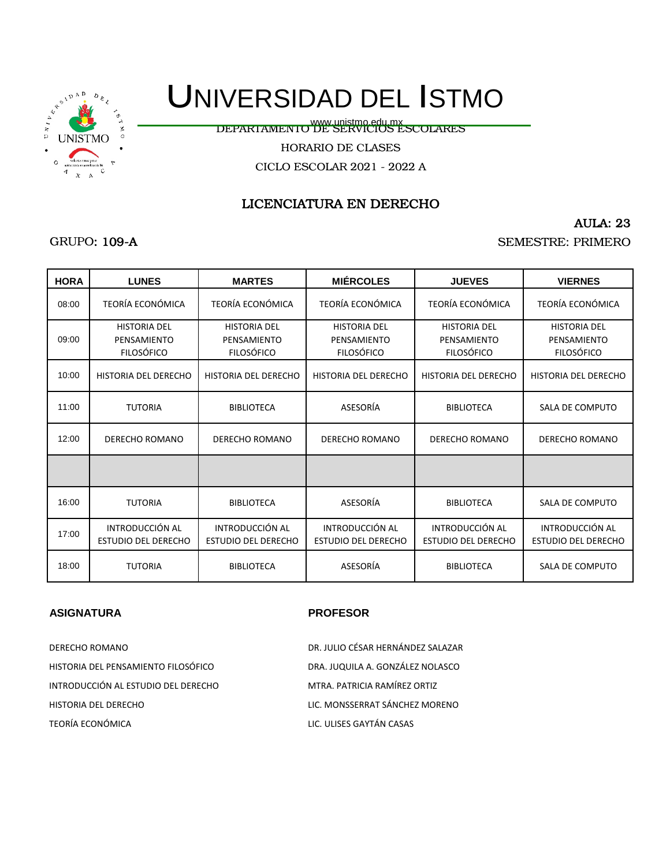

DEPARTAMENTO DE SERVICIOS ESCOLARES www.unistmo.edu.mx

HORARIO DE CLASES

CICLO ESCOLAR 2021 - 2022 A

## LICENCIATURA EN DERECHO

AULA: 23

SEMESTRE: PRIMERO

| <b>GRUPO: 109-A</b> |  |
|---------------------|--|
|---------------------|--|

| <b>HORA</b> | <b>LUNES</b>                                            | <b>MARTES</b>                                           | <b>MIÉRCOLES</b>                                        | <b>JUEVES</b>                                           | <b>VIERNES</b>                                          |
|-------------|---------------------------------------------------------|---------------------------------------------------------|---------------------------------------------------------|---------------------------------------------------------|---------------------------------------------------------|
| 08:00       | <b>TEORÍA ECONÓMICA</b>                                 | <b>TEORÍA ECONÓMICA</b>                                 | <b>TEORÍA ECONÓMICA</b>                                 | <b>TEORÍA ECONÓMICA</b>                                 | TEORÍA ECONÓMICA                                        |
| 09:00       | <b>HISTORIA DEL</b><br>PENSAMIENTO<br><b>FILOSÓFICO</b> | <b>HISTORIA DEL</b><br>PENSAMIENTO<br><b>FILOSÓFICO</b> | <b>HISTORIA DEL</b><br>PENSAMIENTO<br><b>FILOSÓFICO</b> | <b>HISTORIA DEL</b><br>PENSAMIENTO<br><b>FILOSÓFICO</b> | <b>HISTORIA DEL</b><br>PENSAMIENTO<br><b>FILOSÓFICO</b> |
| 10:00       | HISTORIA DEL DERECHO                                    | HISTORIA DEL DERECHO                                    | HISTORIA DEL DERECHO                                    | <b>HISTORIA DEL DERECHO</b>                             | HISTORIA DEL DERECHO                                    |
| 11:00       | <b>TUTORIA</b>                                          | <b>BIBLIOTECA</b>                                       | ASESORÍA                                                | <b>BIBLIOTECA</b>                                       | SALA DE COMPUTO                                         |
| 12:00       | DERECHO ROMANO                                          | <b>DERECHO ROMANO</b>                                   | DERECHO ROMANO                                          | DERECHO ROMANO                                          | <b>DERECHO ROMANO</b>                                   |
|             |                                                         |                                                         |                                                         |                                                         |                                                         |
| 16:00       | <b>TUTORIA</b>                                          | <b>BIBLIOTECA</b>                                       | ASESORÍA                                                | <b>BIBLIOTECA</b>                                       | SALA DE COMPUTO                                         |
| 17:00       | <b>INTRODUCCIÓN AL</b><br><b>ESTUDIO DEL DERECHO</b>    | INTRODUCCIÓN AL<br><b>ESTUDIO DEL DERECHO</b>           | <b>INTRODUCCIÓN AL</b><br><b>ESTUDIO DEL DERECHO</b>    | <b>INTRODUCCIÓN AL</b><br><b>ESTUDIO DEL DERECHO</b>    | INTRODUCCIÓN AL<br><b>ESTUDIO DEL DERECHO</b>           |
| 18:00       | <b>TUTORIA</b>                                          | <b>BIBLIOTECA</b>                                       | ASESORÍA                                                | <b>BIBLIOTECA</b>                                       | SALA DE COMPUTO                                         |

#### **ASIGNATURA PROFESOR**

TEORÍA ECONÓMICA LIC. ULISES GAYTÁN CASAS INTRODUCCIÓN AL ESTUDIO DEL DERECHO MTRA. PATRICIA RAMÍREZ ORTIZ

HISTORIA DEL DERECHO LIC. MONSSERRAT SÁNCHEZ MORENO DERECHO ROMANO DR. JULIO CÉSAR HERNÁNDEZ SALAZAR HISTORIA DEL PENSAMIENTO FILOSÓFICO DRA. JUQUILA A. GONZÁLEZ NOLASCO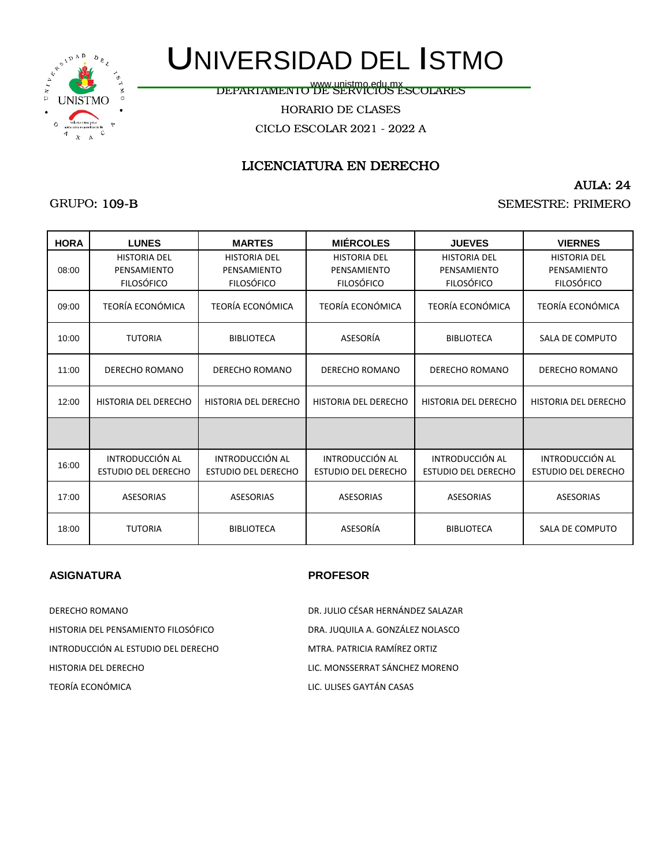

GRUPO: 109-B

# UNIVERSIDAD DEL ISTMO

www.unistmo.edu.mx<br>DEPARTAMENTO DE SERVICIOS ESCOLARES

HORARIO DE CLASES

CICLO ESCOLAR 2021 - 2022 A

## LICENCIATURA EN DERECHO

#### AULA: 24

SEMESTRE: PRIMERO

| <b>HORA</b> | <b>LUNES</b>                                            | <b>MARTES</b>                                           | <b>MIÉRCOLES</b>                                        | <b>JUEVES</b>                                           | <b>VIERNES</b>                                          |
|-------------|---------------------------------------------------------|---------------------------------------------------------|---------------------------------------------------------|---------------------------------------------------------|---------------------------------------------------------|
| 08:00       | <b>HISTORIA DEL</b><br>PENSAMIENTO<br><b>FILOSÓFICO</b> | <b>HISTORIA DEL</b><br>PENSAMIENTO<br><b>FILOSÓFICO</b> | <b>HISTORIA DEL</b><br>PENSAMIENTO<br><b>FILOSÓFICO</b> | <b>HISTORIA DEL</b><br>PENSAMIENTO<br><b>FILOSÓFICO</b> | <b>HISTORIA DEL</b><br>PENSAMIENTO<br><b>FILOSÓFICO</b> |
| 09:00       | TEORÍA ECONÓMICA                                        | TEORÍA ECONÓMICA                                        | TEORÍA ECONÓMICA                                        | TEORÍA ECONÓMICA                                        | <b>TEORÍA ECONÓMICA</b>                                 |
| 10:00       | <b>TUTORIA</b>                                          | <b>BIBLIOTECA</b>                                       | ASESORÍA                                                | <b>BIBLIOTECA</b>                                       | SALA DE COMPUTO                                         |
| 11:00       | <b>DERECHO ROMANO</b>                                   | DERECHO ROMANO                                          | DERECHO ROMANO                                          | <b>DERECHO ROMANO</b>                                   | <b>DERECHO ROMANO</b>                                   |
| 12:00       | HISTORIA DEL DERECHO                                    | HISTORIA DEL DERECHO                                    | HISTORIA DEL DERECHO                                    | HISTORIA DEL DERECHO                                    | HISTORIA DEL DERECHO                                    |
|             |                                                         |                                                         |                                                         |                                                         |                                                         |
| 16:00       | INTRODUCCIÓN AL<br><b>ESTUDIO DEL DERECHO</b>           | INTRODUCCIÓN AL<br><b>ESTUDIO DEL DERECHO</b>           | INTRODUCCIÓN AL<br><b>ESTUDIO DEL DERECHO</b>           | INTRODUCCIÓN AL<br><b>ESTUDIO DEL DERECHO</b>           | INTRODUCCIÓN AL<br><b>ESTUDIO DEL DERECHO</b>           |
| 17:00       | <b>ASESORIAS</b>                                        | <b>ASESORIAS</b>                                        | <b>ASESORIAS</b>                                        | <b>ASESORIAS</b>                                        | <b>ASESORIAS</b>                                        |
| 18:00       | <b>TUTORIA</b>                                          | <b>BIBLIOTECA</b>                                       | ASESORÍA                                                | <b>BIBLIOTECA</b>                                       | SALA DE COMPUTO                                         |

#### **ASIGNATURA PROFESOR**

HISTORIA DEL DERECHO LIC. MONSSERRAT SÁNCHEZ MORENO TEORÍA ECONÓMICA LIC. ULISES GAYTÁN CASAS HISTORIA DEL PENSAMIENTO FILOSÓFICO DRA. JUQUILA A. GONZÁLEZ NOLASCO INTRODUCCIÓN AL ESTUDIO DEL DERECHO MTRA. PATRICIA RAMÍREZ ORTIZ

DERECHO ROMANO DR. JULIO CÉSAR HERNÁNDEZ SALAZAR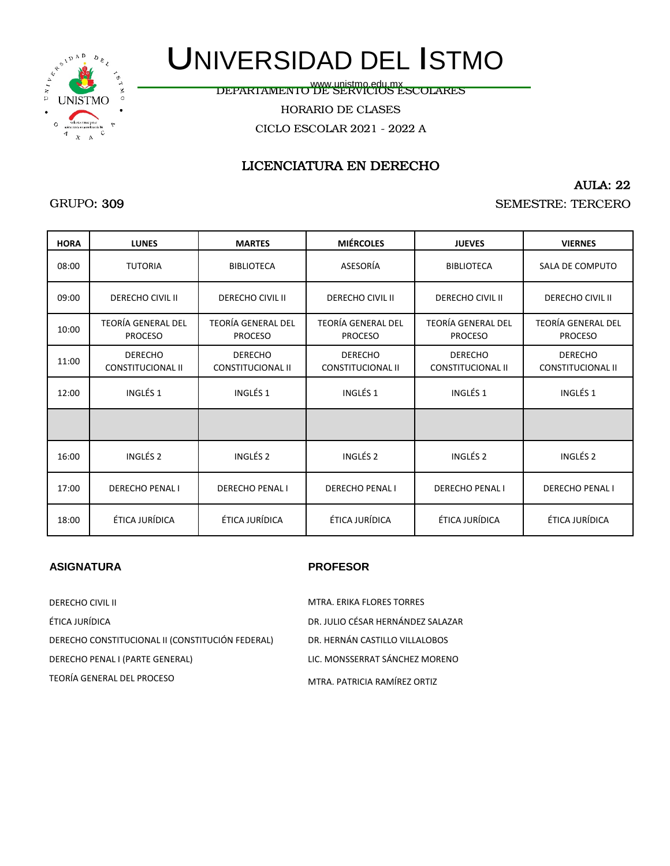

www.unistmo.edu.mx<br>DEPARTAMENTO DE SERVICIOS ESCOLARES

HORARIO DE CLASES

CICLO ESCOLAR 2021 - 2022 A

## LICENCIATURA EN DERECHO

#### AULA: 22

#### SEMESTRE: TERCERO

| <b>HORA</b> | <b>LUNES</b>                                | <b>MARTES</b>                               | <b>MIÉRCOLES</b>                            | <b>JUEVES</b>                              | <b>VIERNES</b>                              |
|-------------|---------------------------------------------|---------------------------------------------|---------------------------------------------|--------------------------------------------|---------------------------------------------|
| 08:00       | <b>TUTORIA</b>                              | <b>BIBLIOTECA</b>                           | ASESORÍA                                    | <b>BIBLIOTECA</b>                          | SALA DE COMPUTO                             |
| 09:00       | <b>DERECHO CIVIL II</b>                     | <b>DERECHO CIVIL II</b>                     | <b>DERECHO CIVIL II</b>                     | <b>DERECHO CIVIL II</b>                    | <b>DERECHO CIVIL II</b>                     |
| 10:00       | <b>TEORÍA GENERAL DEL</b><br><b>PROCESO</b> | <b>TEORÍA GENERAL DEL</b><br><b>PROCESO</b> | <b>TEORÍA GENERAL DEL</b><br><b>PROCESO</b> | TEORÍA GENERAL DEL<br><b>PROCESO</b>       | <b>TEORÍA GENERAL DEL</b><br><b>PROCESO</b> |
| 11:00       | <b>DERECHO</b><br><b>CONSTITUCIONAL II</b>  | <b>DERECHO</b><br><b>CONSTITUCIONAL II</b>  | <b>DERECHO</b><br><b>CONSTITUCIONAL II</b>  | <b>DERECHO</b><br><b>CONSTITUCIONAL II</b> | <b>DERECHO</b><br><b>CONSTITUCIONAL II</b>  |
| 12:00       | INGLÉS <sub>1</sub>                         | INGLÉS <sub>1</sub>                         | INGLÉS <sub>1</sub>                         | INGLÉS <sub>1</sub>                        | INGLÉS <sub>1</sub>                         |
|             |                                             |                                             |                                             |                                            |                                             |
| 16:00       | INGLÉS <sub>2</sub>                         | INGLÉS <sub>2</sub>                         | INGLÉS <sub>2</sub>                         | INGLÉS <sub>2</sub>                        | INGLÉS <sub>2</sub>                         |
| 17:00       | <b>DERECHO PENAL I</b>                      | <b>DERECHO PENAL I</b>                      | <b>DERECHO PENAL I</b>                      | <b>DERECHO PENAL I</b>                     | <b>DERECHO PENALI</b>                       |
| 18:00       | ÉTICA JURÍDICA                              | ÉTICA JURÍDICA                              | ÉTICA JURÍDICA                              | ÉTICA JURÍDICA                             | ÉTICA JURÍDICA                              |

#### **ASIGNATURA PROFESOR**

| <b>DERECHO CIVIL II</b>                          | MTRA. ERIKA FLORES TORRES         |
|--------------------------------------------------|-----------------------------------|
| ÉTICA JURÍDICA                                   | DR. JULIO CÉSAR HERNÁNDEZ SALAZAR |
| DERECHO CONSTITUCIONAL II (CONSTITUCIÓN FEDERAL) | DR. HERNÁN CASTILLO VILLALOBOS    |
| DERECHO PENAL I (PARTE GENERAL)                  | LIC. MONSSERRAT SÁNCHEZ MORENO    |
| TEORÍA GENERAL DEL PROCESO                       | MTRA. PATRICIA RAMÍREZ ORTIZ      |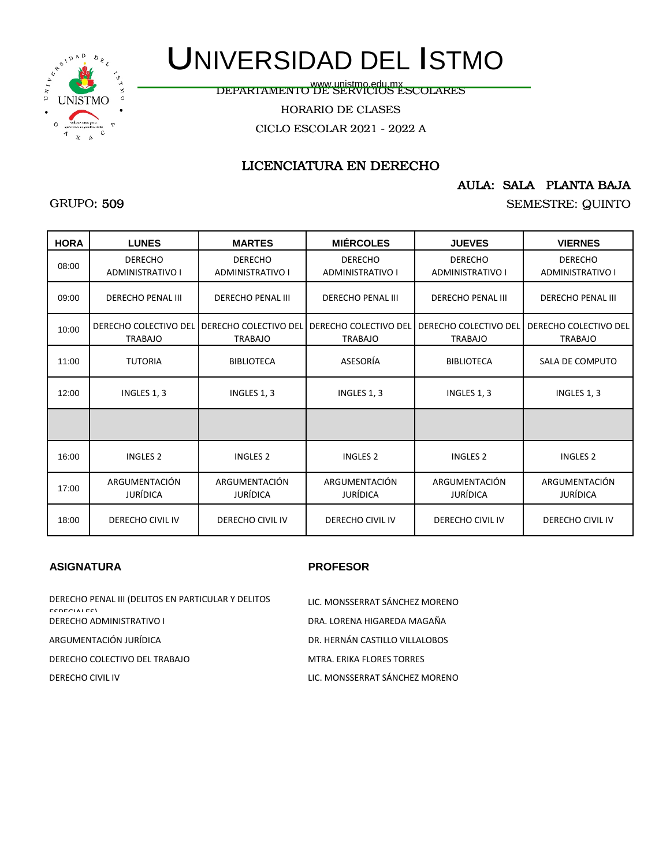

www.unistmo.edu.mx<br>DEPARTAMENTO DE SERVICIOS ESCOLARES

HORARIO DE CLASES

CICLO ESCOLAR 2021 - 2022 A

## LICENCIATURA EN DERECHO

### AULA: SALA PLANTA BAJA

SEMESTRE: QUINTO

| <b>HORA</b> | <b>LUNES</b>                              | <b>MARTES</b>                                                 | <b>MIÉRCOLES</b>                        | <b>JUEVES</b>                             | <b>VIERNES</b>                            |
|-------------|-------------------------------------------|---------------------------------------------------------------|-----------------------------------------|-------------------------------------------|-------------------------------------------|
| 08:00       | <b>DERECHO</b><br><b>ADMINISTRATIVO I</b> | <b>DERECHO</b><br><b>ADMINISTRATIVO I</b>                     | <b>DERECHO</b><br>ADMINISTRATIVO I      | <b>DERECHO</b><br><b>ADMINISTRATIVO I</b> | <b>DERECHO</b><br><b>ADMINISTRATIVO I</b> |
| 09:00       | <b>DERECHO PENAL III</b>                  | <b>DERECHO PENAL III</b>                                      | <b>DERECHO PENAL III</b>                | <b>DERECHO PENAL III</b>                  | <b>DERECHO PENAL III</b>                  |
| 10:00       | <b>TRABAJO</b>                            | DERECHO COLECTIVO DEL DERECHO COLECTIVO DEL<br><b>TRABAJO</b> | DERECHO COLECTIVO DEL<br><b>TRABAJO</b> | DERECHO COLECTIVO DEL<br><b>TRABAJO</b>   | DERECHO COLECTIVO DEL<br><b>TRABAJO</b>   |
| 11:00       | <b>TUTORIA</b>                            | <b>BIBLIOTECA</b>                                             | ASESORÍA                                | <b>BIBLIOTECA</b>                         | SALA DE COMPUTO                           |
| 12:00       | INGLES 1, 3                               | INGLES 1, 3                                                   | INGLES 1, 3                             | INGLES 1, 3                               | INGLES 1, 3                               |
|             |                                           |                                                               |                                         |                                           |                                           |
| 16:00       | <b>INGLES 2</b>                           | <b>INGLES 2</b>                                               | <b>INGLES 2</b>                         | <b>INGLES 2</b>                           | <b>INGLES 2</b>                           |
| 17:00       | ARGUMENTACIÓN<br><b>JURÍDICA</b>          | ARGUMENTACIÓN<br><b>JURÍDICA</b>                              | ARGUMENTACIÓN<br><b>JURÍDICA</b>        | ARGUMENTACIÓN<br><b>JURÍDICA</b>          | ARGUMENTACIÓN<br>JURÍDICA                 |
| 18:00       | DERECHO CIVIL IV                          | <b>DERECHO CIVIL IV</b>                                       | <b>DERECHO CIVIL IV</b>                 | <b>DERECHO CIVIL IV</b>                   | DERECHO CIVIL IV                          |

#### **ASIGNATURA PROFESOR**

| DERECHO PENAL III (DELITOS EN PARTICULAR Y DELITOS<br><b>FCDFCIALFCI</b> | LIC. MONSSERRAT SÁNCHEZ MORENO |
|--------------------------------------------------------------------------|--------------------------------|
| <b>DERECHO ADMINISTRATIVO I</b>                                          | DRA. LORENA HIGAREDA MAGAÑA    |
| ARGUMENTACIÓN JURÍDICA                                                   | DR. HERNÁN CASTILLO VILLALOBOS |
| DERECHO COLECTIVO DEL TRABAJO                                            | MTRA, ERIKA FLORES TORRES      |
| DERECHO CIVIL IV                                                         | LIC. MONSSERRAT SÁNCHEZ MORENO |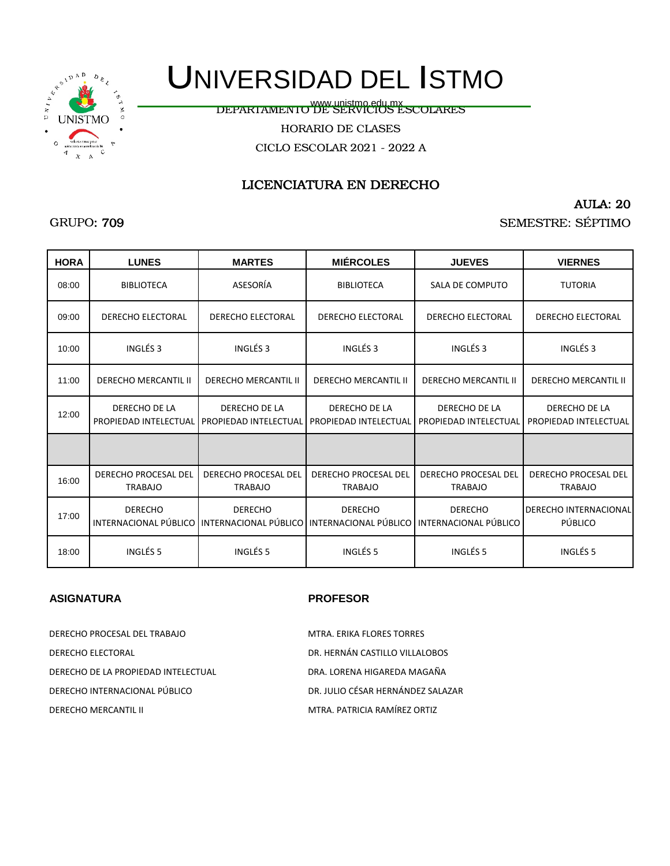

www.unistmo.edu.mx<br>DEPARTAMENTO DE SERVICIOS ESCOLARES

HORARIO DE CLASES

CICLO ESCOLAR 2021 - 2022 A

## LICENCIATURA EN DERECHO

### AULA: 20

SEMESTRE: SÉPTIMO

| <b>HORA</b> | <b>LUNES</b>                                  | <b>MARTES</b>                                                                           | <b>MIÉRCOLES</b>                              | <b>JUEVES</b>                                 | <b>VIERNES</b>                                |
|-------------|-----------------------------------------------|-----------------------------------------------------------------------------------------|-----------------------------------------------|-----------------------------------------------|-----------------------------------------------|
| 08:00       | <b>BIBLIOTECA</b>                             | ASESORÍA                                                                                | <b>BIBLIOTECA</b>                             | SALA DE COMPUTO                               | <b>TUTORIA</b>                                |
| 09:00       | <b>DERECHO ELECTORAL</b>                      | <b>DERECHO ELECTORAL</b>                                                                | <b>DERECHO ELECTORAL</b>                      | <b>DERECHO ELECTORAL</b>                      | <b>DERECHO ELECTORAL</b>                      |
| 10:00       | INGLÉS <sub>3</sub>                           | INGLÉS <sub>3</sub>                                                                     | INGLÉS <sub>3</sub>                           | INGLÉS <sub>3</sub>                           | INGLÉS <sub>3</sub>                           |
| 11:00       | <b>DERECHO MERCANTIL II</b>                   | <b>DERECHO MERCANTIL II</b>                                                             | <b>DERECHO MERCANTIL II</b>                   | <b>DERECHO MERCANTIL II</b>                   | <b>DERECHO MERCANTIL II</b>                   |
| 12:00       | DERECHO DE LA<br>PROPIEDAD INTELECTUAL        | DERECHO DE LA<br>PROPIEDAD INTELECTUAL                                                  | DERECHO DE LA<br>PROPIEDAD INTELECTUAL        | DERECHO DE LA<br>PROPIEDAD INTELECTUAL        | DERECHO DE LA<br>PROPIEDAD INTELECTUAL        |
|             |                                               |                                                                                         |                                               |                                               |                                               |
| 16:00       | <b>DERECHO PROCESAL DEL</b><br><b>TRABAJO</b> | <b>DERECHO PROCESAL DEL</b><br><b>TRABAJO</b>                                           | <b>DERECHO PROCESAL DEL</b><br><b>TRABAJO</b> | <b>DERECHO PROCESAL DEL</b><br><b>TRABAJO</b> | <b>DERECHO PROCESAL DEL</b><br><b>TRABAJO</b> |
| 17:00       | <b>DERECHO</b>                                | <b>DERECHO</b><br>INTERNACIONAL PÚBLICO I INTERNACIONAL PÚBLICO I INTERNACIONAL PÚBLICO | <b>DERECHO</b>                                | <b>DERECHO</b><br>INTERNACIONAL PÚBLICO       | <b>DERECHO INTERNACIONAL</b><br>PÚBLICO       |
| 18:00       | INGLÉS 5                                      | INGLÉS 5                                                                                | INGLÉS 5                                      | INGLÉS 5                                      | INGLÉS <sub>5</sub>                           |

#### **ASIGNATURA PROFESOR**

| DERECHO PROCESAL DEL TRABAJO        | MTRA, ERIKA FLORES TORRES         |
|-------------------------------------|-----------------------------------|
| DERECHO ELECTORAL                   | DR. HERNÁN CASTILLO VILLALOBOS    |
| DERECHO DE LA PROPIEDAD INTELECTUAL | DRA. LORENA HIGAREDA MAGAÑA       |
| DERECHO INTERNACIONAL PÚBLICO       | DR. JULIO CÉSAR HERNÁNDEZ SALAZAR |
| <b>DERECHO MERCANTIL II</b>         | MTRA. PATRICIA RAMÍREZ ORTIZ      |